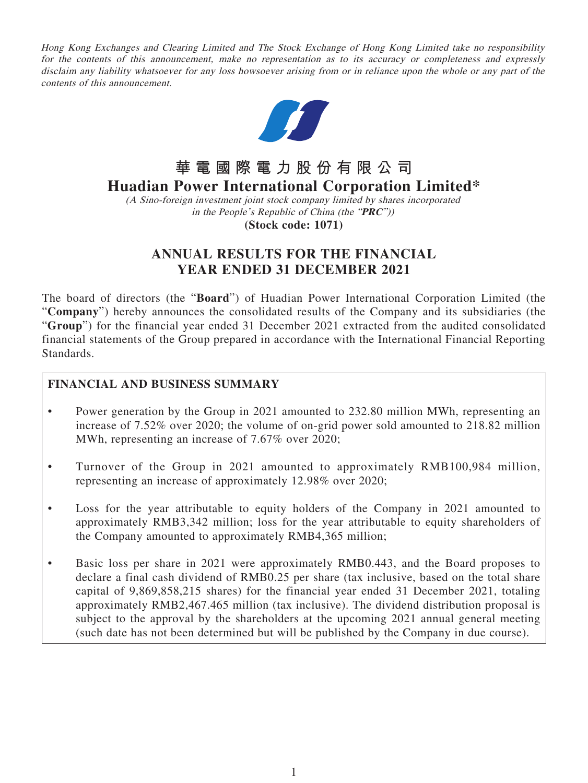Hong Kong Exchanges and Clearing Limited and The Stock Exchange of Hong Kong Limited take no responsibility for the contents of this announcement, make no representation as to its accuracy or completeness and expressly disclaim any liability whatsoever for any loss howsoever arising from or in reliance upon the whole or any part of the contents of this announcement.



# **華電國際電力股份有限公司**

# **Huadian Power International Corporation Limited\***

(A Sino-foreign investment joint stock company limited by shares incorporated in the People's Republic of China (the "**PRC**"))

**(Stock code: 1071)**

## **ANNUAL RESULTS FOR THE FINANCIAL YEAR ENDED 31 DECEMBER 2021**

The board of directors (the "**Board**") of Huadian Power International Corporation Limited (the "**Company**") hereby announces the consolidated results of the Company and its subsidiaries (the "**Group**") for the financial year ended 31 December 2021 extracted from the audited consolidated financial statements of the Group prepared in accordance with the International Financial Reporting Standards.

## **FINANCIAL AND BUSINESS SUMMARY**

- Power generation by the Group in 2021 amounted to 232.80 million MWh, representing an increase of 7.52% over 2020; the volume of on-grid power sold amounted to 218.82 million MWh, representing an increase of 7.67% over 2020;
- Turnover of the Group in 2021 amounted to approximately RMB100,984 million, representing an increase of approximately 12.98% over 2020;
- Loss for the year attributable to equity holders of the Company in 2021 amounted to approximately RMB3,342 million; loss for the year attributable to equity shareholders of the Company amounted to approximately RMB4,365 million;
- Basic loss per share in 2021 were approximately RMB0.443, and the Board proposes to declare a final cash dividend of RMB0.25 per share (tax inclusive, based on the total share capital of 9,869,858,215 shares) for the financial year ended 31 December 2021, totaling approximately RMB2,467.465 million (tax inclusive). The dividend distribution proposal is subject to the approval by the shareholders at the upcoming 2021 annual general meeting (such date has not been determined but will be published by the Company in due course).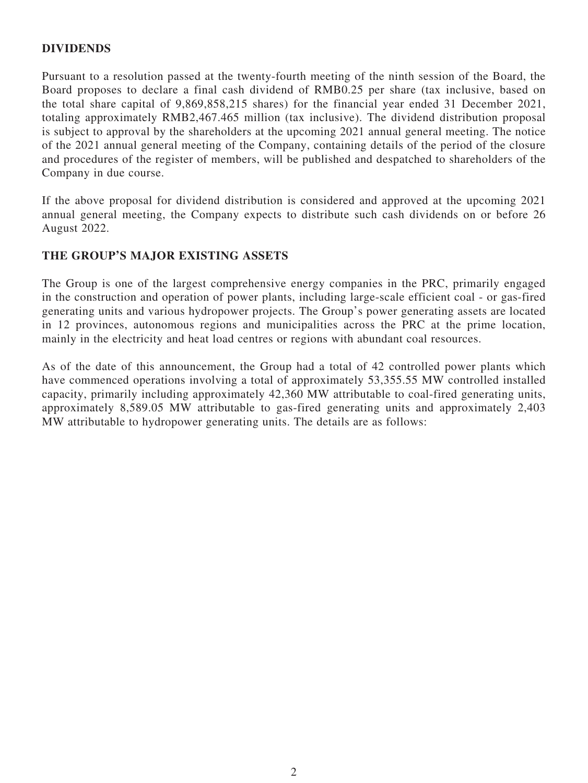## **DIVIDENDS**

Pursuant to a resolution passed at the twenty-fourth meeting of the ninth session of the Board, the Board proposes to declare a final cash dividend of RMB0.25 per share (tax inclusive, based on the total share capital of 9,869,858,215 shares) for the financial year ended 31 December 2021, totaling approximately RMB2,467.465 million (tax inclusive). The dividend distribution proposal is subject to approval by the shareholders at the upcoming 2021 annual general meeting. The notice of the 2021 annual general meeting of the Company, containing details of the period of the closure and procedures of the register of members, will be published and despatched to shareholders of the Company in due course.

If the above proposal for dividend distribution is considered and approved at the upcoming 2021 annual general meeting, the Company expects to distribute such cash dividends on or before 26 August 2022.

## **THE GROUP'S MAJOR EXISTING ASSETS**

The Group is one of the largest comprehensive energy companies in the PRC, primarily engaged in the construction and operation of power plants, including large-scale efficient coal - or gas-fired generating units and various hydropower projects. The Group's power generating assets are located in 12 provinces, autonomous regions and municipalities across the PRC at the prime location, mainly in the electricity and heat load centres or regions with abundant coal resources.

As of the date of this announcement, the Group had a total of 42 controlled power plants which have commenced operations involving a total of approximately 53,355.55 MW controlled installed capacity, primarily including approximately 42,360 MW attributable to coal-fired generating units, approximately 8,589.05 MW attributable to gas-fired generating units and approximately 2,403 MW attributable to hydropower generating units. The details are as follows: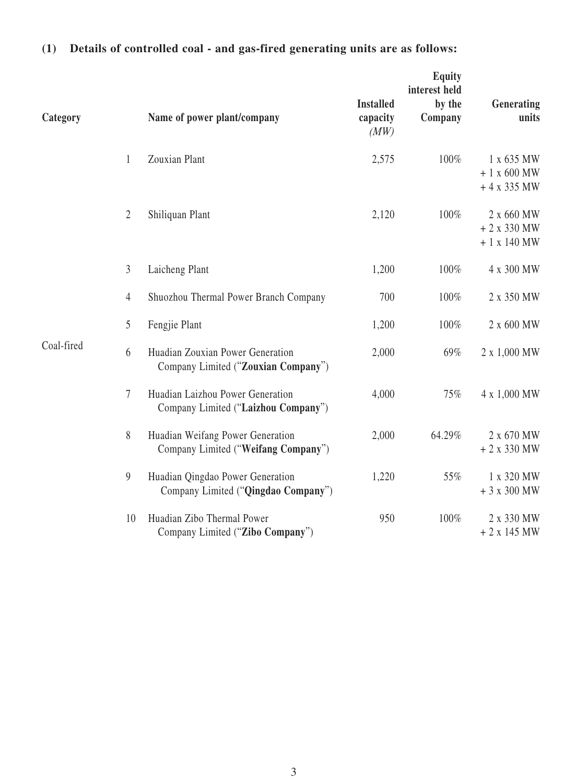| Category   |                | Name of power plant/company                                             | <b>Installed</b><br>capacity<br>(MW) | Equity<br>interest held<br>by the<br>Company | Generating<br>units                       |
|------------|----------------|-------------------------------------------------------------------------|--------------------------------------|----------------------------------------------|-------------------------------------------|
|            | 1              | Zouxian Plant                                                           | 2,575                                | 100%                                         | 1 x 635 MW<br>$+1$ x 600 MW<br>$+4x335MW$ |
|            | $\overline{2}$ | Shiliquan Plant                                                         | 2,120                                | 100%                                         | 2 x 660 MW<br>$+2x330MW$<br>$+1$ x 140 MW |
|            | 3              | Laicheng Plant                                                          | 1,200                                | 100%                                         | 4 x 300 MW                                |
|            | 4              | Shuozhou Thermal Power Branch Company                                   | 700                                  | 100%                                         | 2 x 350 MW                                |
|            | 5              | Fengjie Plant                                                           | 1,200                                | 100%                                         | 2 x 600 MW                                |
| Coal-fired | 6              | Huadian Zouxian Power Generation<br>Company Limited ("Zouxian Company") | 2,000                                | 69%                                          | 2 x 1,000 MW                              |
|            | 7              | Huadian Laizhou Power Generation<br>Company Limited ("Laizhou Company") | 4,000                                | 75%                                          | 4 x 1,000 MW                              |
|            | 8              | Huadian Weifang Power Generation<br>Company Limited ("Weifang Company") | 2,000                                | 64.29%                                       | 2 x 670 MW<br>$+2x330MW$                  |
|            | 9              | Huadian Qingdao Power Generation<br>Company Limited ("Qingdao Company") | 1,220                                | 55%                                          | 1 x 320 MW<br>$+3x300MW$                  |
|            | 10             | Huadian Zibo Thermal Power<br>Company Limited ("Zibo Company")          | 950                                  | 100%                                         | 2 x 330 MW<br>$+2x145MW$                  |

# **(1) Details of controlled coal - and gas-fired generating units are as follows:**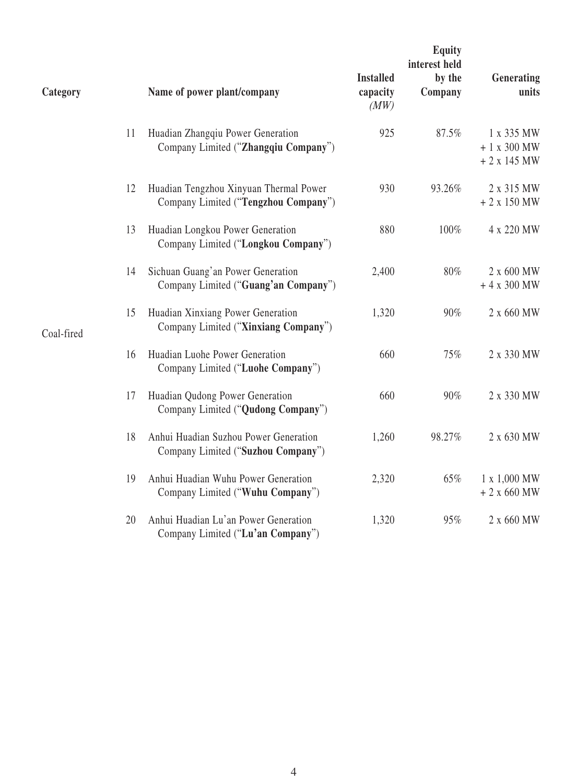| Category   |    | Name of power plant/company                                                    | <b>Installed</b><br>capacity<br>(MW) | Equity<br>interest held<br>by the<br>Company | Generating<br>units                       |
|------------|----|--------------------------------------------------------------------------------|--------------------------------------|----------------------------------------------|-------------------------------------------|
|            | 11 | Huadian Zhangqiu Power Generation<br>Company Limited ("Zhangqiu Company")      | 925                                  | 87.5%                                        | 1 x 335 MW<br>$+1$ x 300 MW<br>$+2x145MW$ |
|            | 12 | Huadian Tengzhou Xinyuan Thermal Power<br>Company Limited ("Tengzhou Company") | 930                                  | 93.26%                                       | 2 x 315 MW<br>$+2x150MW$                  |
| Coal-fired | 13 | Huadian Longkou Power Generation<br>Company Limited ("Longkou Company")        | 880                                  | 100%                                         | 4 x 220 MW                                |
|            | 14 | Sichuan Guang'an Power Generation<br>Company Limited ("Guang'an Company")      | 2,400                                | 80%                                          | 2 x 600 MW<br>$+4$ x 300 MW               |
|            | 15 | Huadian Xinxiang Power Generation<br>Company Limited ("Xinxiang Company")      | 1,320                                | 90%                                          | 2 x 660 MW                                |
|            | 16 | Huadian Luohe Power Generation<br>Company Limited ("Luohe Company")            | 660                                  | 75%                                          | 2 x 330 MW                                |
|            | 17 | Huadian Qudong Power Generation<br>Company Limited ("Qudong Company")          | 660                                  | 90%                                          | 2 x 330 MW                                |
|            | 18 | Anhui Huadian Suzhou Power Generation<br>Company Limited ("Suzhou Company")    | 1,260                                | 98.27%                                       | 2 x 630 MW                                |
|            | 19 | Anhui Huadian Wuhu Power Generation<br>Company Limited ("Wuhu Company")        | 2,320                                | 65%                                          | 1 x 1,000 MW<br>$+2x660$ MW               |
|            | 20 | Anhui Huadian Lu'an Power Generation<br>Company Limited ("Lu'an Company")      | 1,320                                | 95%                                          | 2 x 660 MW                                |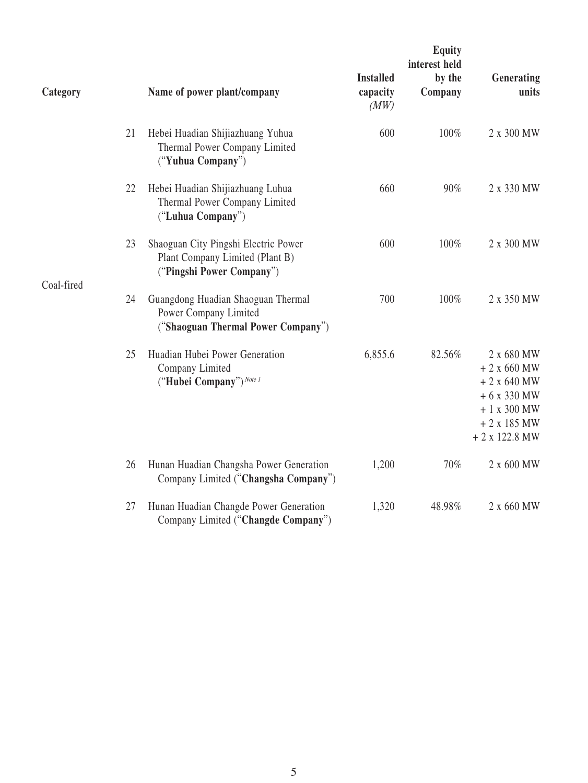| Category   |    | Name of power plant/company                                                                          | <b>Installed</b><br>capacity<br>(MW) | <b>Equity</b><br>interest held<br>by the<br>Company | Generating<br>units                                                                                        |
|------------|----|------------------------------------------------------------------------------------------------------|--------------------------------------|-----------------------------------------------------|------------------------------------------------------------------------------------------------------------|
|            | 21 | Hebei Huadian Shijiazhuang Yuhua<br>Thermal Power Company Limited<br>("Yuhua Company")               | 600                                  | 100%                                                | 2 x 300 MW                                                                                                 |
|            | 22 | Hebei Huadian Shijiazhuang Luhua<br>Thermal Power Company Limited<br>("Luhua Company")               | 660                                  | 90%                                                 | 2 x 330 MW                                                                                                 |
|            | 23 | Shaoguan City Pingshi Electric Power<br>Plant Company Limited (Plant B)<br>("Pingshi Power Company") | 600                                  | 100%                                                | 2 x 300 MW                                                                                                 |
| Coal-fired | 24 | Guangdong Huadian Shaoguan Thermal<br>Power Company Limited<br>("Shaoguan Thermal Power Company")    | 700                                  | 100%                                                | 2 x 350 MW                                                                                                 |
|            | 25 | Huadian Hubei Power Generation<br>Company Limited<br>("Hubei Company") Note 1                        | 6,855.6                              | 82.56%                                              | 2 x 680 MW<br>$+2x660$ MW<br>$+2$ x 640 MW<br>$+6x330MW$<br>$+1$ x 300 MW<br>$+2x185MW$<br>$+2$ x 122.8 MW |
|            | 26 | Hunan Huadian Changsha Power Generation<br>Company Limited ("Changsha Company")                      | 1,200                                | 70%                                                 | 2 x 600 MW                                                                                                 |
|            | 27 | Hunan Huadian Changde Power Generation<br>Company Limited ("Changde Company")                        | 1,320                                | 48.98%                                              | 2 x 660 MW                                                                                                 |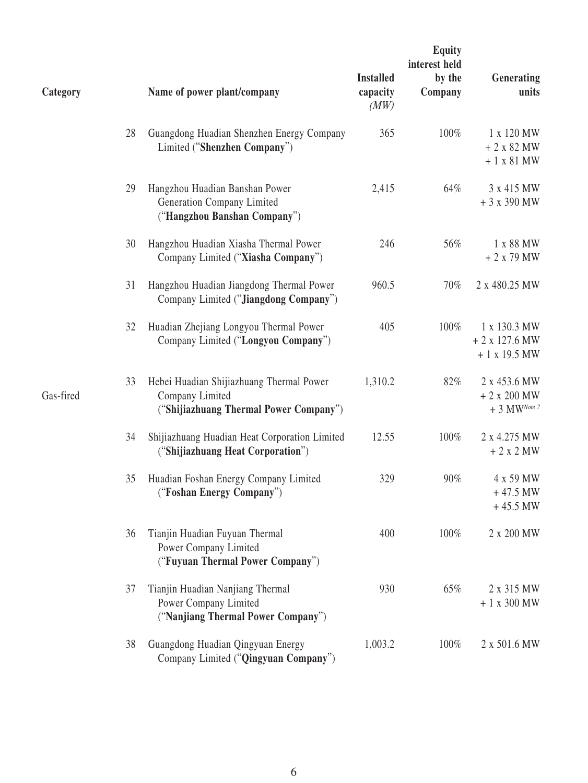| Category  |    | Name of power plant/company                                                                           | <b>Installed</b><br>capacity<br>(MW) | <b>Equity</b><br>interest held<br>by the<br>Company | Generating<br>units                                        |
|-----------|----|-------------------------------------------------------------------------------------------------------|--------------------------------------|-----------------------------------------------------|------------------------------------------------------------|
|           | 28 | Guangdong Huadian Shenzhen Energy Company<br>Limited ("Shenzhen Company")                             | 365                                  | 100%                                                | 1 x 120 MW<br>$+2x82MW$<br>$+1$ x 81 MW                    |
|           | 29 | Hangzhou Huadian Banshan Power<br>Generation Company Limited<br>("Hangzhou Banshan Company")          | 2,415                                | 64%                                                 | 3 x 415 MW<br>$+3x390MW$                                   |
|           | 30 | Hangzhou Huadian Xiasha Thermal Power<br>Company Limited ("Xiasha Company")                           | 246                                  | 56%                                                 | 1 x 88 MW<br>$+2x79MW$                                     |
|           | 31 | Hangzhou Huadian Jiangdong Thermal Power<br>Company Limited ("Jiangdong Company")                     | 960.5                                | 70%                                                 | 2 x 480.25 MW                                              |
|           | 32 | Huadian Zhejiang Longyou Thermal Power<br>Company Limited ("Longyou Company")                         | 405                                  | 100%                                                | 1 x 130.3 MW<br>$+2$ x 127.6 MW<br>$+1$ x 19.5 MW          |
| Gas-fired | 33 | Hebei Huadian Shijiazhuang Thermal Power<br>Company Limited<br>("Shijiazhuang Thermal Power Company") | 1,310.2                              | 82%                                                 | 2 x 453.6 MW<br>$+2$ x 200 MW<br>$+3$ MW <sup>Note 2</sup> |
|           | 34 | Shijiazhuang Huadian Heat Corporation Limited<br>("Shijiazhuang Heat Corporation")                    | 12.55                                | 100%                                                | 2 x 4.275 MW<br>$+2x2MW$                                   |
|           | 35 | Huadian Foshan Energy Company Limited<br>("Foshan Energy Company")                                    | 329                                  | 90%                                                 | 4 x 59 MW<br>$+47.5$ MW<br>$+45.5$ MW                      |
|           | 36 | Tianjin Huadian Fuyuan Thermal<br>Power Company Limited<br>("Fuyuan Thermal Power Company")           | 400                                  | 100%                                                | 2 x 200 MW                                                 |
|           | 37 | Tianjin Huadian Nanjiang Thermal<br>Power Company Limited<br>("Nanjiang Thermal Power Company")       | 930                                  | 65%                                                 | 2 x 315 MW<br>$+1$ x 300 MW                                |
|           | 38 | Guangdong Huadian Qingyuan Energy<br>Company Limited ("Qingyuan Company")                             | 1,003.2                              | 100%                                                | 2 x 501.6 MW                                               |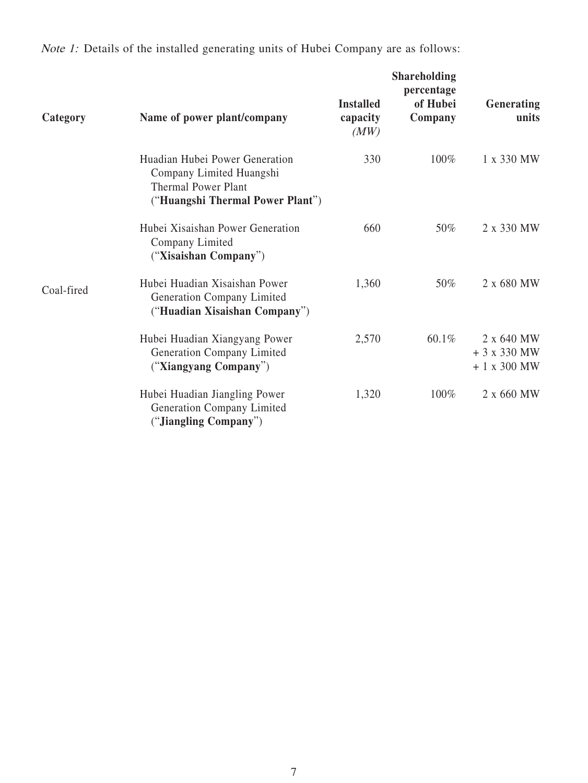| Category   | Name of power plant/company                                                                                                  | <b>Installed</b><br>capacity<br>(MW) | <b>Shareholding</b><br>percentage<br>of Hubei<br>Company | <b>Generating</b><br>units                |
|------------|------------------------------------------------------------------------------------------------------------------------------|--------------------------------------|----------------------------------------------------------|-------------------------------------------|
|            | Huadian Hubei Power Generation<br>Company Limited Huangshi<br><b>Thermal Power Plant</b><br>("Huangshi Thermal Power Plant") | 330                                  | 100%                                                     | 1 x 330 MW                                |
|            | Hubei Xisaishan Power Generation<br>Company Limited<br>("Xisaishan Company")                                                 | 660                                  | 50%                                                      | 2 x 330 MW                                |
| Coal-fired | Hubei Huadian Xisaishan Power<br>Generation Company Limited<br>("Huadian Xisaishan Company")                                 | 1,360                                | 50%                                                      | 2 x 680 MW                                |
|            | Hubei Huadian Xiangyang Power<br>Generation Company Limited<br>("Xiangyang Company")                                         | 2,570                                | 60.1%                                                    | 2 x 640 MW<br>$+3x330MW$<br>$+1$ x 300 MW |
|            | Hubei Huadian Jiangling Power<br>Generation Company Limited<br>("Jiangling Company")                                         | 1,320                                | 100%                                                     | 2 x 660 MW                                |

Note 1: Details of the installed generating units of Hubei Company are as follows: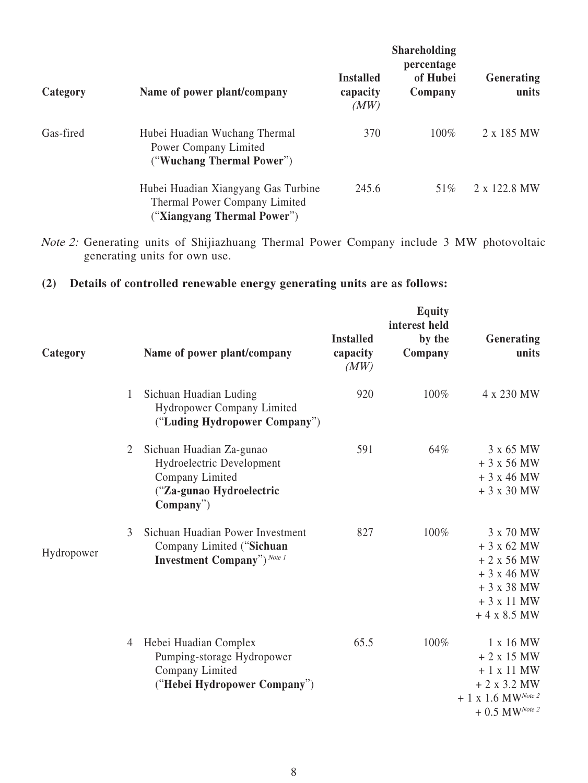| Category  | Name of power plant/company                                                                         | <b>Installed</b><br>capacity<br>(MW) | <b>Shareholding</b><br>percentage<br>of Hubei<br>Company | Generating<br>units |
|-----------|-----------------------------------------------------------------------------------------------------|--------------------------------------|----------------------------------------------------------|---------------------|
| Gas-fired | Hubei Huadian Wuchang Thermal<br>Power Company Limited<br>("Wuchang Thermal Power")                 | 370                                  | 100%                                                     | 2 x 185 MW          |
|           | Hubei Huadian Xiangyang Gas Turbine<br>Thermal Power Company Limited<br>("Xiangyang Thermal Power") | 245.6                                | 51\%                                                     | 2 x 122.8 MW        |

Note 2: Generating units of Shijiazhuang Thermal Power Company include 3 MW photovoltaic generating units for own use.

## **(2) Details of controlled renewable energy generating units are as follows:**

| Category   |   | Name of power plant/company                                                                                       | <b>Installed</b><br>capacity<br>(MW) | <b>Equity</b><br>interest held<br>by the<br>Company | Generating<br>units                                                                                     |
|------------|---|-------------------------------------------------------------------------------------------------------------------|--------------------------------------|-----------------------------------------------------|---------------------------------------------------------------------------------------------------------|
|            | 1 | Sichuan Huadian Luding<br>Hydropower Company Limited<br>("Luding Hydropower Company")                             | 920                                  | 100%                                                | 4 x 230 MW                                                                                              |
|            | 2 | Sichuan Huadian Za-gunao<br>Hydroelectric Development<br>Company Limited<br>("Za-gunao Hydroelectric<br>Company") | 591                                  | 64%                                                 | 3 x 65 MW<br>$+3x56MW$<br>$+3x46MW$<br>$+3x30MW$                                                        |
| Hydropower | 3 | Sichuan Huadian Power Investment<br>Company Limited ("Sichuan<br><b>Investment Company"</b> ) Note 1              | 827                                  | 100%                                                | 3 x 70 MW<br>$+3x62$ MW<br>$+2x56$ MW<br>$+3x46MW$<br>$+3x38$ MW<br>$+3x11MW$<br>$+4$ x 8.5 MW          |
|            | 4 | Hebei Huadian Complex<br>Pumping-storage Hydropower<br>Company Limited<br>("Hebei Hydropower Company")            | 65.5                                 | 100%                                                | 1 x 16 MW<br>$+2x15MW$<br>$+1$ x 11 MW<br>$+2 x 3.2 MW$<br>$+ 1 x 1.6 MW^{Note 2}$<br>$+$ 0.5 MW Note 2 |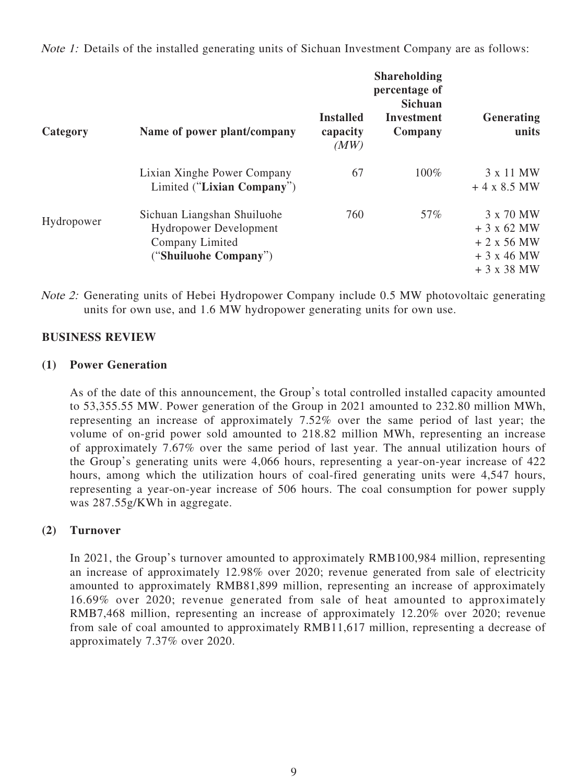Note 1: Details of the installed generating units of Sichuan Investment Company are as follows:

|            |                                                                                                          |                                      | <b>Shareholding</b><br>percentage of<br><b>Sichuan</b> |                                                                    |
|------------|----------------------------------------------------------------------------------------------------------|--------------------------------------|--------------------------------------------------------|--------------------------------------------------------------------|
| Category   | Name of power plant/company                                                                              | <b>Installed</b><br>capacity<br>(MW) | Investment<br>Company                                  | Generating<br>units                                                |
|            | Lixian Xinghe Power Company<br>Limited ("Lixian Company")                                                | 67                                   | 100%                                                   | 3 x 11 MW<br>$+4$ x 8.5 MW                                         |
| Hydropower | Sichuan Liangshan Shuiluohe<br><b>Hydropower Development</b><br>Company Limited<br>("Shuiluohe Company") | 760                                  | 57%                                                    | 3 x 70 MW<br>$+3$ x 62 MW<br>$+2x56$ MW<br>$+3x46$ MW<br>$+3x38MW$ |

Note 2: Generating units of Hebei Hydropower Company include 0.5 MW photovoltaic generating units for own use, and 1.6 MW hydropower generating units for own use.

## **BUSINESS REVIEW**

#### **(1) Power Generation**

As of the date of this announcement, the Group's total controlled installed capacity amounted to 53,355.55 MW. Power generation of the Group in 2021 amounted to 232.80 million MWh, representing an increase of approximately 7.52% over the same period of last year; the volume of on-grid power sold amounted to 218.82 million MWh, representing an increase of approximately 7.67% over the same period of last year. The annual utilization hours of the Group's generating units were 4,066 hours, representing a year-on-year increase of 422 hours, among which the utilization hours of coal-fired generating units were 4,547 hours, representing a year-on-year increase of 506 hours. The coal consumption for power supply was 287.55g/KWh in aggregate.

## **(2) Turnover**

In 2021, the Group's turnover amounted to approximately RMB100,984 million, representing an increase of approximately 12.98% over 2020; revenue generated from sale of electricity amounted to approximately RMB81,899 million, representing an increase of approximately 16.69% over 2020; revenue generated from sale of heat amounted to approximately RMB7,468 million, representing an increase of approximately 12.20% over 2020; revenue from sale of coal amounted to approximately RMB11,617 million, representing a decrease of approximately 7.37% over 2020.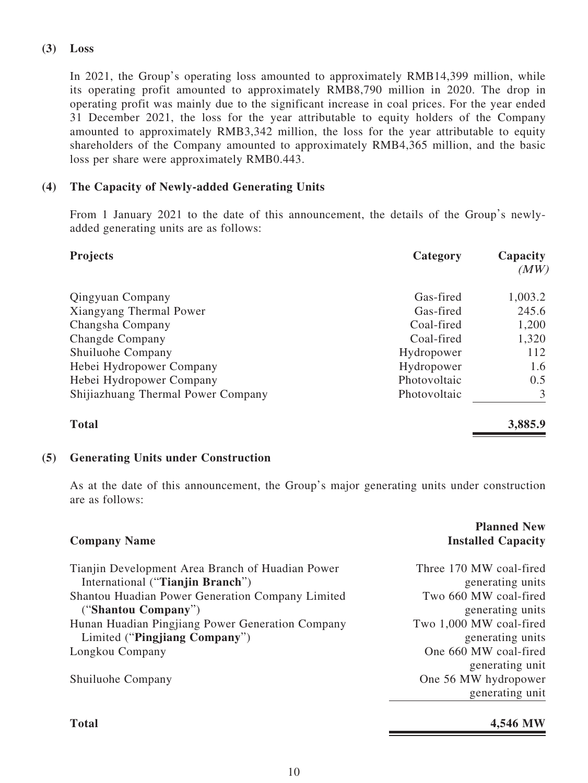#### **(3) Loss**

In 2021, the Group's operating loss amounted to approximately RMB14,399 million, while its operating profit amounted to approximately RMB8,790 million in 2020. The drop in operating profit was mainly due to the significant increase in coal prices. For the year ended 31 December 2021, the loss for the year attributable to equity holders of the Company amounted to approximately RMB3,342 million, the loss for the year attributable to equity shareholders of the Company amounted to approximately RMB4,365 million, and the basic loss per share were approximately RMB0.443.

## **(4) The Capacity of Newly-added Generating Units**

From 1 January 2021 to the date of this announcement, the details of the Group's newlyadded generating units are as follows:

| <b>Projects</b>                    | Category     | Capacity<br>(MW) |
|------------------------------------|--------------|------------------|
| <b>Qingyuan Company</b>            | Gas-fired    | 1,003.2          |
| Xiangyang Thermal Power            | Gas-fired    | 245.6            |
| Changsha Company                   | Coal-fired   | 1,200            |
| <b>Changde Company</b>             | Coal-fired   | 1,320            |
| Shuiluohe Company                  | Hydropower   | 112              |
| Hebei Hydropower Company           | Hydropower   | 1.6              |
| Hebei Hydropower Company           | Photovoltaic | 0.5              |
| Shijiazhuang Thermal Power Company | Photovoltaic | 3                |
| <b>Total</b>                       |              | 3,885.9          |

#### **(5) Generating Units under Construction**

As at the date of this announcement, the Group's major generating units under construction are as follows:

| <b>Company Name</b>                              | <b>Planned New</b><br><b>Installed Capacity</b> |
|--------------------------------------------------|-------------------------------------------------|
| Tianjin Development Area Branch of Huadian Power | Three 170 MW coal-fired                         |
| International ("Tianjin Branch")                 | generating units                                |
| Shantou Huadian Power Generation Company Limited | Two 660 MW coal-fired                           |
| ("Shantou Company")                              | generating units                                |
| Hunan Huadian Pingjiang Power Generation Company | Two 1,000 MW coal-fired                         |
| Limited ("Pingjiang Company")                    | generating units                                |
| Longkou Company                                  | One 660 MW coal-fired                           |
|                                                  | generating unit                                 |
| Shuiluohe Company                                | One 56 MW hydropower                            |
|                                                  | generating unit                                 |
|                                                  |                                                 |

## **Total 4,546 MW**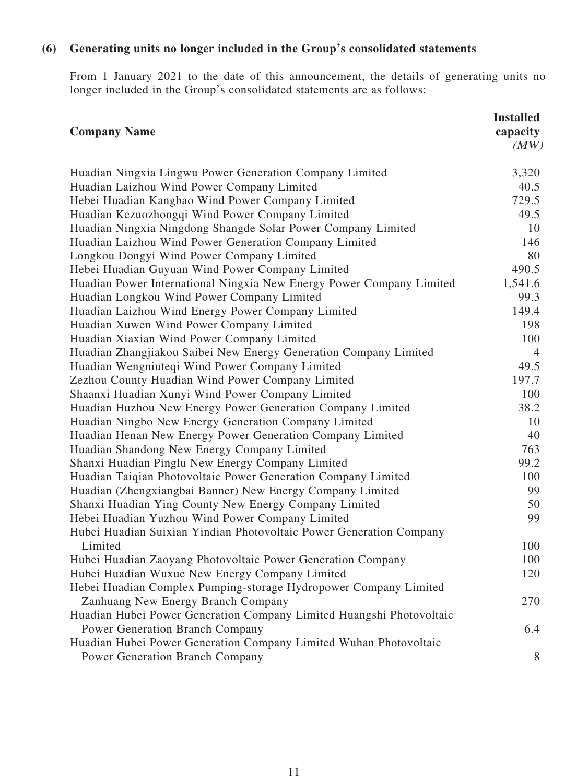## **(6) Generating units no longer included in the Group's consolidated statements**

From 1 January 2021 to the date of this announcement, the details of generating units no longer included in the Group's consolidated statements are as follows:

| <b>Company Name</b>                                                  | <b>Installed</b><br>capacity<br>(MW) |
|----------------------------------------------------------------------|--------------------------------------|
| Huadian Ningxia Lingwu Power Generation Company Limited              | 3,320                                |
| Huadian Laizhou Wind Power Company Limited                           | 40.5                                 |
| Hebei Huadian Kangbao Wind Power Company Limited                     | 729.5                                |
| Huadian Kezuozhongqi Wind Power Company Limited                      | 49.5                                 |
| Huadian Ningxia Ningdong Shangde Solar Power Company Limited         | 10                                   |
| Huadian Laizhou Wind Power Generation Company Limited                | 146                                  |
| Longkou Dongyi Wind Power Company Limited                            | 80                                   |
| Hebei Huadian Guyuan Wind Power Company Limited                      | 490.5                                |
| Huadian Power International Ningxia New Energy Power Company Limited | 1,541.6                              |
| Huadian Longkou Wind Power Company Limited                           | 99.3                                 |
| Huadian Laizhou Wind Energy Power Company Limited                    | 149.4                                |
| Huadian Xuwen Wind Power Company Limited                             | 198                                  |
| Huadian Xiaxian Wind Power Company Limited                           | 100                                  |
| Huadian Zhangjiakou Saibei New Energy Generation Company Limited     | $\overline{4}$                       |
| Huadian Wengniuteqi Wind Power Company Limited                       | 49.5                                 |
| Zezhou County Huadian Wind Power Company Limited                     | 197.7                                |
| Shaanxi Huadian Xunyi Wind Power Company Limited                     | 100                                  |
| Huadian Huzhou New Energy Power Generation Company Limited           | 38.2                                 |
| Huadian Ningbo New Energy Generation Company Limited                 | 10                                   |
| Huadian Henan New Energy Power Generation Company Limited            | 40                                   |
| Huadian Shandong New Energy Company Limited                          | 763                                  |
| Shanxi Huadian Pinglu New Energy Company Limited                     | 99.2                                 |
| Huadian Taiqian Photovoltaic Power Generation Company Limited        | 100                                  |
| Huadian (Zhengxiangbai Banner) New Energy Company Limited            | 99                                   |
| Shanxi Huadian Ying County New Energy Company Limited                | 50                                   |
| Hebei Huadian Yuzhou Wind Power Company Limited                      | 99                                   |
| Hubei Huadian Suixian Yindian Photovoltaic Power Generation Company  |                                      |
| Limited                                                              | 100                                  |
| Hubei Huadian Zaoyang Photovoltaic Power Generation Company          | 100                                  |
| Hubei Huadian Wuxue New Energy Company Limited                       | 120                                  |
| Hebei Huadian Complex Pumping-storage Hydropower Company Limited     |                                      |
| Zanhuang New Energy Branch Company                                   | 270                                  |
| Huadian Hubei Power Generation Company Limited Huangshi Photovoltaic |                                      |
| <b>Power Generation Branch Company</b>                               | 6.4                                  |
| Huadian Hubei Power Generation Company Limited Wuhan Photovoltaic    |                                      |
| <b>Power Generation Branch Company</b>                               | 8                                    |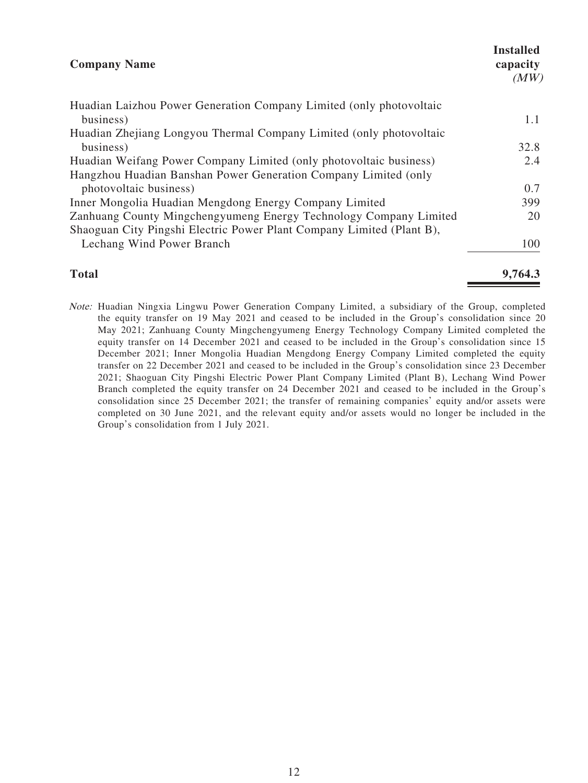| <b>Company Name</b>                                                   | <b>Installed</b><br>capacity<br>(MW) |
|-----------------------------------------------------------------------|--------------------------------------|
| Huadian Laizhou Power Generation Company Limited (only photovoltaic   |                                      |
| business)                                                             | 1.1                                  |
| Huadian Zhejiang Longyou Thermal Company Limited (only photovoltaic   |                                      |
| business)                                                             | 32.8                                 |
| Huadian Weifang Power Company Limited (only photovoltaic business)    | 2.4                                  |
| Hangzhou Huadian Banshan Power Generation Company Limited (only       |                                      |
| photovoltaic business)                                                | 0.7                                  |
| Inner Mongolia Huadian Mengdong Energy Company Limited                | 399                                  |
| Zanhuang County Mingchengyumeng Energy Technology Company Limited     | 20                                   |
| Shaoguan City Pingshi Electric Power Plant Company Limited (Plant B), |                                      |
| Lechang Wind Power Branch                                             | 100                                  |
|                                                                       |                                      |

**Total 9,764.3** Note: Huadian Ningxia Lingwu Power Generation Company Limited, a subsidiary of the Group, completed

the equity transfer on 19 May 2021 and ceased to be included in the Group's consolidation since 20 May 2021; Zanhuang County Mingchengyumeng Energy Technology Company Limited completed the equity transfer on 14 December 2021 and ceased to be included in the Group's consolidation since 15 December 2021; Inner Mongolia Huadian Mengdong Energy Company Limited completed the equity transfer on 22 December 2021 and ceased to be included in the Group's consolidation since 23 December 2021; Shaoguan City Pingshi Electric Power Plant Company Limited (Plant B), Lechang Wind Power Branch completed the equity transfer on 24 December 2021 and ceased to be included in the Group's consolidation since 25 December 2021; the transfer of remaining companies' equity and/or assets were completed on 30 June 2021, and the relevant equity and/or assets would no longer be included in the Group's consolidation from 1 July 2021.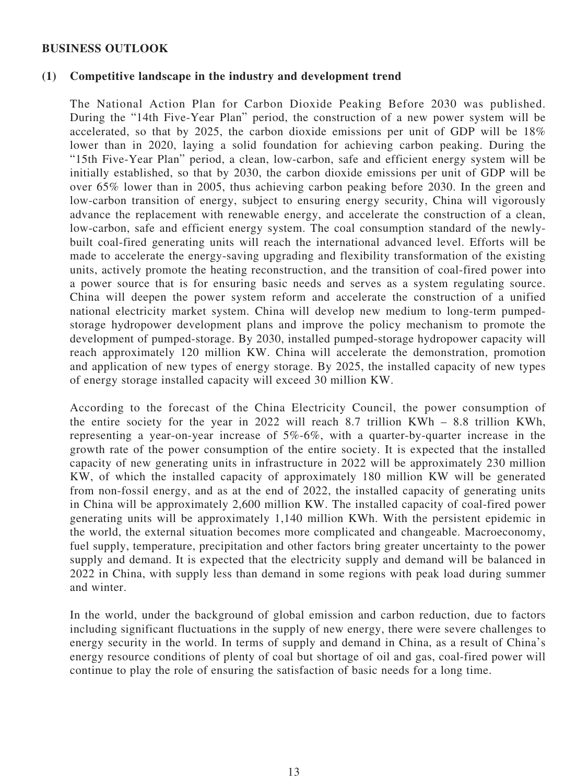#### **BUSINESS OUTLOOK**

#### **(1) Competitive landscape in the industry and development trend**

The National Action Plan for Carbon Dioxide Peaking Before 2030 was published. During the "14th Five-Year Plan" period, the construction of a new power system will be accelerated, so that by 2025, the carbon dioxide emissions per unit of GDP will be 18% lower than in 2020, laying a solid foundation for achieving carbon peaking. During the "15th Five-Year Plan" period, a clean, low-carbon, safe and efficient energy system will be initially established, so that by 2030, the carbon dioxide emissions per unit of GDP will be over 65% lower than in 2005, thus achieving carbon peaking before 2030. In the green and low-carbon transition of energy, subject to ensuring energy security, China will vigorously advance the replacement with renewable energy, and accelerate the construction of a clean, low-carbon, safe and efficient energy system. The coal consumption standard of the newlybuilt coal-fired generating units will reach the international advanced level. Efforts will be made to accelerate the energy-saving upgrading and flexibility transformation of the existing units, actively promote the heating reconstruction, and the transition of coal-fired power into a power source that is for ensuring basic needs and serves as a system regulating source. China will deepen the power system reform and accelerate the construction of a unified national electricity market system. China will develop new medium to long-term pumpedstorage hydropower development plans and improve the policy mechanism to promote the development of pumped-storage. By 2030, installed pumped-storage hydropower capacity will reach approximately 120 million KW. China will accelerate the demonstration, promotion and application of new types of energy storage. By 2025, the installed capacity of new types of energy storage installed capacity will exceed 30 million KW.

According to the forecast of the China Electricity Council, the power consumption of the entire society for the year in 2022 will reach 8.7 trillion KWh – 8.8 trillion KWh, representing a year-on-year increase of 5%-6%, with a quarter-by-quarter increase in the growth rate of the power consumption of the entire society. It is expected that the installed capacity of new generating units in infrastructure in 2022 will be approximately 230 million KW, of which the installed capacity of approximately 180 million KW will be generated from non-fossil energy, and as at the end of 2022, the installed capacity of generating units in China will be approximately 2,600 million KW. The installed capacity of coal-fired power generating units will be approximately 1,140 million KWh. With the persistent epidemic in the world, the external situation becomes more complicated and changeable. Macroeconomy, fuel supply, temperature, precipitation and other factors bring greater uncertainty to the power supply and demand. It is expected that the electricity supply and demand will be balanced in 2022 in China, with supply less than demand in some regions with peak load during summer and winter.

In the world, under the background of global emission and carbon reduction, due to factors including significant fluctuations in the supply of new energy, there were severe challenges to energy security in the world. In terms of supply and demand in China, as a result of China's energy resource conditions of plenty of coal but shortage of oil and gas, coal-fired power will continue to play the role of ensuring the satisfaction of basic needs for a long time.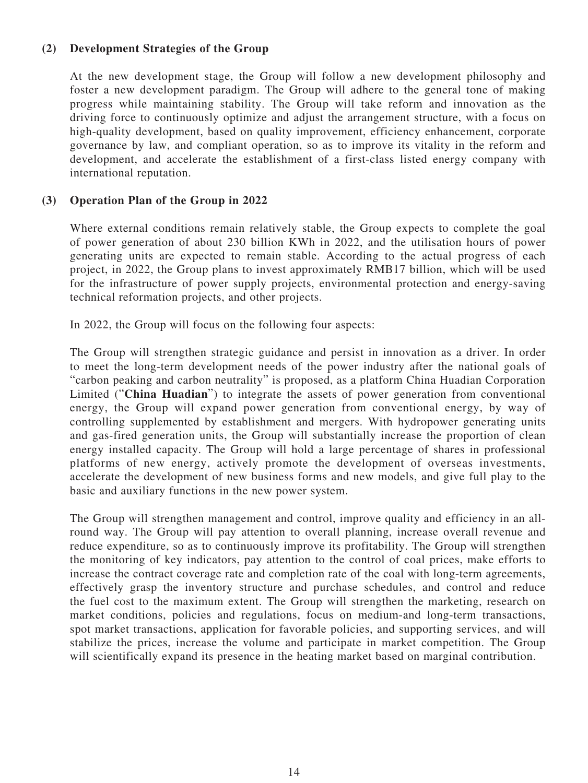#### **(2) Development Strategies of the Group**

At the new development stage, the Group will follow a new development philosophy and foster a new development paradigm. The Group will adhere to the general tone of making progress while maintaining stability. The Group will take reform and innovation as the driving force to continuously optimize and adjust the arrangement structure, with a focus on high-quality development, based on quality improvement, efficiency enhancement, corporate governance by law, and compliant operation, so as to improve its vitality in the reform and development, and accelerate the establishment of a first-class listed energy company with international reputation.

#### **(3) Operation Plan of the Group in 2022**

Where external conditions remain relatively stable, the Group expects to complete the goal of power generation of about 230 billion KWh in 2022, and the utilisation hours of power generating units are expected to remain stable. According to the actual progress of each project, in 2022, the Group plans to invest approximately RMB17 billion, which will be used for the infrastructure of power supply projects, environmental protection and energy-saving technical reformation projects, and other projects.

In 2022, the Group will focus on the following four aspects:

The Group will strengthen strategic guidance and persist in innovation as a driver. In order to meet the long-term development needs of the power industry after the national goals of "carbon peaking and carbon neutrality" is proposed, as a platform China Huadian Corporation Limited ("**China Huadian**") to integrate the assets of power generation from conventional energy, the Group will expand power generation from conventional energy, by way of controlling supplemented by establishment and mergers. With hydropower generating units and gas-fired generation units, the Group will substantially increase the proportion of clean energy installed capacity. The Group will hold a large percentage of shares in professional platforms of new energy, actively promote the development of overseas investments, accelerate the development of new business forms and new models, and give full play to the basic and auxiliary functions in the new power system.

The Group will strengthen management and control, improve quality and efficiency in an allround way. The Group will pay attention to overall planning, increase overall revenue and reduce expenditure, so as to continuously improve its profitability. The Group will strengthen the monitoring of key indicators, pay attention to the control of coal prices, make efforts to increase the contract coverage rate and completion rate of the coal with long-term agreements, effectively grasp the inventory structure and purchase schedules, and control and reduce the fuel cost to the maximum extent. The Group will strengthen the marketing, research on market conditions, policies and regulations, focus on medium-and long-term transactions, spot market transactions, application for favorable policies, and supporting services, and will stabilize the prices, increase the volume and participate in market competition. The Group will scientifically expand its presence in the heating market based on marginal contribution.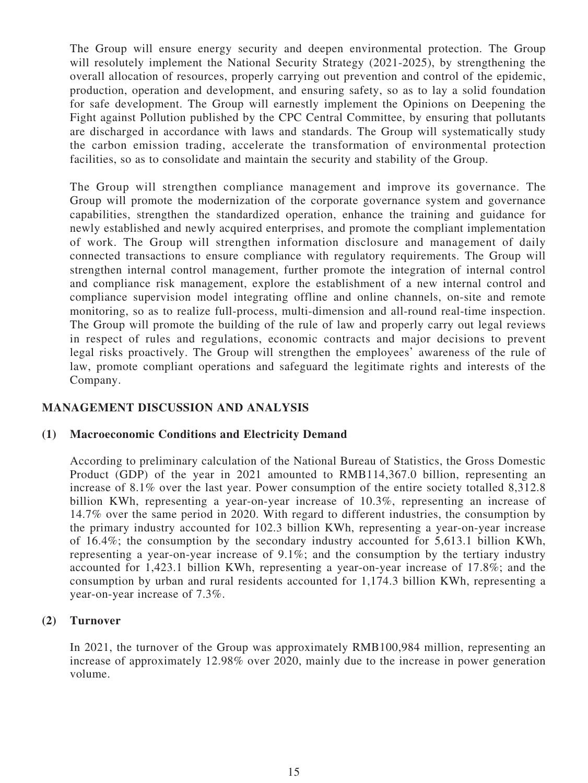The Group will ensure energy security and deepen environmental protection. The Group will resolutely implement the National Security Strategy (2021-2025), by strengthening the overall allocation of resources, properly carrying out prevention and control of the epidemic, production, operation and development, and ensuring safety, so as to lay a solid foundation for safe development. The Group will earnestly implement the Opinions on Deepening the Fight against Pollution published by the CPC Central Committee, by ensuring that pollutants are discharged in accordance with laws and standards. The Group will systematically study the carbon emission trading, accelerate the transformation of environmental protection facilities, so as to consolidate and maintain the security and stability of the Group.

The Group will strengthen compliance management and improve its governance. The Group will promote the modernization of the corporate governance system and governance capabilities, strengthen the standardized operation, enhance the training and guidance for newly established and newly acquired enterprises, and promote the compliant implementation of work. The Group will strengthen information disclosure and management of daily connected transactions to ensure compliance with regulatory requirements. The Group will strengthen internal control management, further promote the integration of internal control and compliance risk management, explore the establishment of a new internal control and compliance supervision model integrating offline and online channels, on-site and remote monitoring, so as to realize full-process, multi-dimension and all-round real-time inspection. The Group will promote the building of the rule of law and properly carry out legal reviews in respect of rules and regulations, economic contracts and major decisions to prevent legal risks proactively. The Group will strengthen the employees' awareness of the rule of law, promote compliant operations and safeguard the legitimate rights and interests of the Company.

## **MANAGEMENT DISCUSSION AND ANALYSIS**

#### **(1) Macroeconomic Conditions and Electricity Demand**

According to preliminary calculation of the National Bureau of Statistics, the Gross Domestic Product (GDP) of the year in 2021 amounted to RMB114,367.0 billion, representing an increase of 8.1% over the last year. Power consumption of the entire society totalled 8,312.8 billion KWh, representing a year-on-year increase of 10.3%, representing an increase of 14.7% over the same period in 2020. With regard to different industries, the consumption by the primary industry accounted for 102.3 billion KWh, representing a year-on-year increase of 16.4%; the consumption by the secondary industry accounted for 5,613.1 billion KWh, representing a year-on-year increase of 9.1%; and the consumption by the tertiary industry accounted for 1,423.1 billion KWh, representing a year-on-year increase of 17.8%; and the consumption by urban and rural residents accounted for 1,174.3 billion KWh, representing a year-on-year increase of 7.3%.

#### **(2) Turnover**

In 2021, the turnover of the Group was approximately RMB100,984 million, representing an increase of approximately 12.98% over 2020, mainly due to the increase in power generation volume.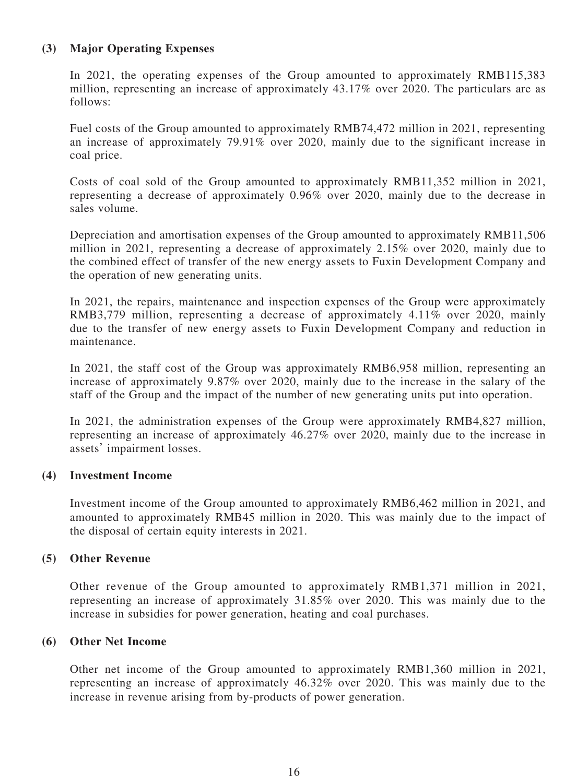#### **(3) Major Operating Expenses**

In 2021, the operating expenses of the Group amounted to approximately RMB115,383 million, representing an increase of approximately 43.17% over 2020. The particulars are as follows:

Fuel costs of the Group amounted to approximately RMB74,472 million in 2021, representing an increase of approximately 79.91% over 2020, mainly due to the significant increase in coal price.

Costs of coal sold of the Group amounted to approximately RMB11,352 million in 2021, representing a decrease of approximately 0.96% over 2020, mainly due to the decrease in sales volume.

Depreciation and amortisation expenses of the Group amounted to approximately RMB11,506 million in 2021, representing a decrease of approximately 2.15% over 2020, mainly due to the combined effect of transfer of the new energy assets to Fuxin Development Company and the operation of new generating units.

In 2021, the repairs, maintenance and inspection expenses of the Group were approximately RMB3,779 million, representing a decrease of approximately 4.11% over 2020, mainly due to the transfer of new energy assets to Fuxin Development Company and reduction in maintenance.

In 2021, the staff cost of the Group was approximately RMB6,958 million, representing an increase of approximately 9.87% over 2020, mainly due to the increase in the salary of the staff of the Group and the impact of the number of new generating units put into operation.

In 2021, the administration expenses of the Group were approximately RMB4,827 million, representing an increase of approximately 46.27% over 2020, mainly due to the increase in assets' impairment losses.

#### **(4) Investment Income**

Investment income of the Group amounted to approximately RMB6,462 million in 2021, and amounted to approximately RMB45 million in 2020. This was mainly due to the impact of the disposal of certain equity interests in 2021.

#### **(5) Other Revenue**

Other revenue of the Group amounted to approximately RMB1,371 million in 2021, representing an increase of approximately 31.85% over 2020. This was mainly due to the increase in subsidies for power generation, heating and coal purchases.

#### **(6) Other Net Income**

Other net income of the Group amounted to approximately RMB1,360 million in 2021, representing an increase of approximately 46.32% over 2020. This was mainly due to the increase in revenue arising from by-products of power generation.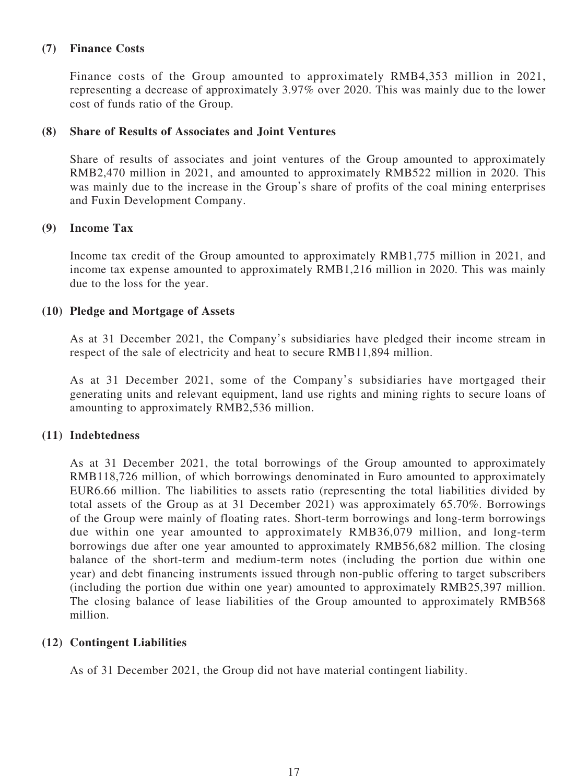#### **(7) Finance Costs**

Finance costs of the Group amounted to approximately RMB4,353 million in 2021, representing a decrease of approximately 3.97% over 2020. This was mainly due to the lower cost of funds ratio of the Group.

#### **(8) Share of Results of Associates and Joint Ventures**

Share of results of associates and joint ventures of the Group amounted to approximately RMB2,470 million in 2021, and amounted to approximately RMB522 million in 2020. This was mainly due to the increase in the Group's share of profits of the coal mining enterprises and Fuxin Development Company.

#### **(9) Income Tax**

Income tax credit of the Group amounted to approximately RMB1,775 million in 2021, and income tax expense amounted to approximately RMB1,216 million in 2020. This was mainly due to the loss for the year.

#### **(10) Pledge and Mortgage of Assets**

As at 31 December 2021, the Company's subsidiaries have pledged their income stream in respect of the sale of electricity and heat to secure RMB11,894 million.

As at 31 December 2021, some of the Company's subsidiaries have mortgaged their generating units and relevant equipment, land use rights and mining rights to secure loans of amounting to approximately RMB2,536 million.

#### **(11) Indebtedness**

As at 31 December 2021, the total borrowings of the Group amounted to approximately RMB118,726 million, of which borrowings denominated in Euro amounted to approximately EUR6.66 million. The liabilities to assets ratio (representing the total liabilities divided by total assets of the Group as at 31 December 2021) was approximately 65.70%. Borrowings of the Group were mainly of floating rates. Short-term borrowings and long-term borrowings due within one year amounted to approximately RMB36,079 million, and long-term borrowings due after one year amounted to approximately RMB56,682 million. The closing balance of the short-term and medium-term notes (including the portion due within one year) and debt financing instruments issued through non-public offering to target subscribers (including the portion due within one year) amounted to approximately RMB25,397 million. The closing balance of lease liabilities of the Group amounted to approximately RMB568 million.

#### **(12) Contingent Liabilities**

As of 31 December 2021, the Group did not have material contingent liability.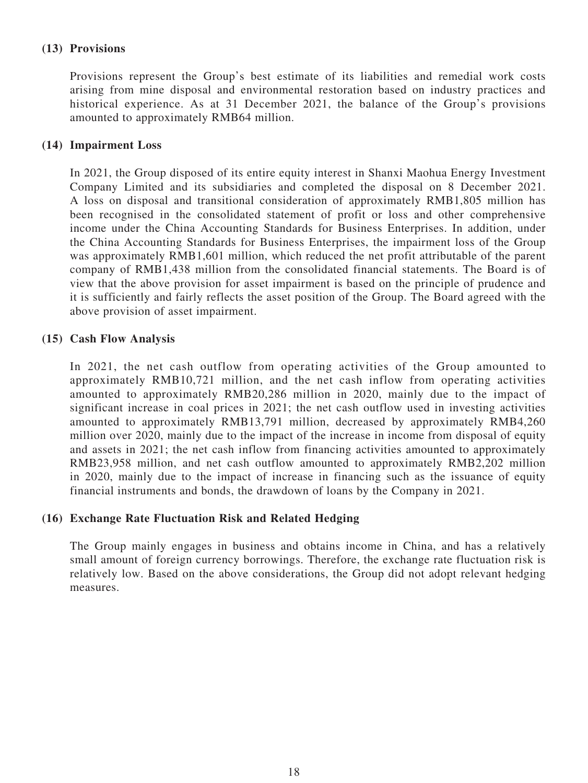## **(13) Provisions**

Provisions represent the Group's best estimate of its liabilities and remedial work costs arising from mine disposal and environmental restoration based on industry practices and historical experience. As at 31 December 2021, the balance of the Group's provisions amounted to approximately RMB64 million.

#### **(14) Impairment Loss**

In 2021, the Group disposed of its entire equity interest in Shanxi Maohua Energy Investment Company Limited and its subsidiaries and completed the disposal on 8 December 2021. A loss on disposal and transitional consideration of approximately RMB1,805 million has been recognised in the consolidated statement of profit or loss and other comprehensive income under the China Accounting Standards for Business Enterprises. In addition, under the China Accounting Standards for Business Enterprises, the impairment loss of the Group was approximately RMB1,601 million, which reduced the net profit attributable of the parent company of RMB1,438 million from the consolidated financial statements. The Board is of view that the above provision for asset impairment is based on the principle of prudence and it is sufficiently and fairly reflects the asset position of the Group. The Board agreed with the above provision of asset impairment.

#### **(15) Cash Flow Analysis**

In 2021, the net cash outflow from operating activities of the Group amounted to approximately RMB10,721 million, and the net cash inflow from operating activities amounted to approximately RMB20,286 million in 2020, mainly due to the impact of significant increase in coal prices in 2021; the net cash outflow used in investing activities amounted to approximately RMB13,791 million, decreased by approximately RMB4,260 million over 2020, mainly due to the impact of the increase in income from disposal of equity and assets in 2021; the net cash inflow from financing activities amounted to approximately RMB23,958 million, and net cash outflow amounted to approximately RMB2,202 million in 2020, mainly due to the impact of increase in financing such as the issuance of equity financial instruments and bonds, the drawdown of loans by the Company in 2021.

#### **(16) Exchange Rate Fluctuation Risk and Related Hedging**

The Group mainly engages in business and obtains income in China, and has a relatively small amount of foreign currency borrowings. Therefore, the exchange rate fluctuation risk is relatively low. Based on the above considerations, the Group did not adopt relevant hedging measures.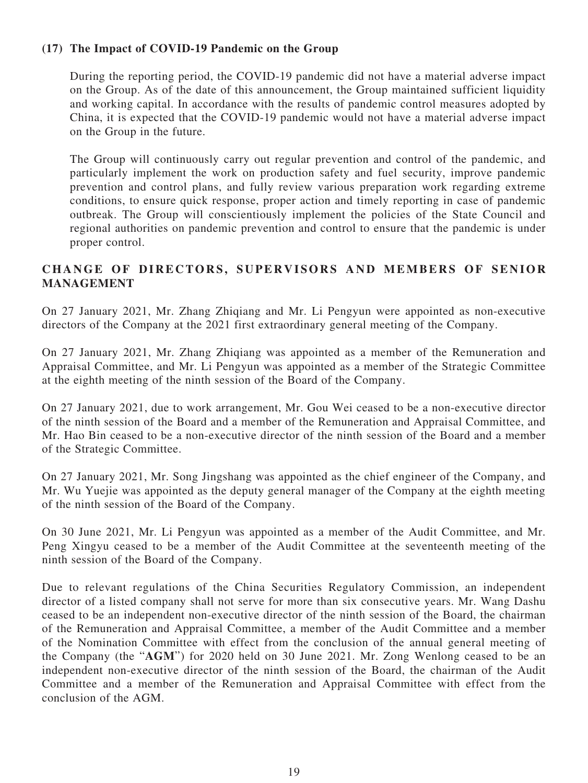#### **(17) The Impact of COVID-19 Pandemic on the Group**

During the reporting period, the COVID-19 pandemic did not have a material adverse impact on the Group. As of the date of this announcement, the Group maintained sufficient liquidity and working capital. In accordance with the results of pandemic control measures adopted by China, it is expected that the COVID-19 pandemic would not have a material adverse impact on the Group in the future.

The Group will continuously carry out regular prevention and control of the pandemic, and particularly implement the work on production safety and fuel security, improve pandemic prevention and control plans, and fully review various preparation work regarding extreme conditions, to ensure quick response, proper action and timely reporting in case of pandemic outbreak. The Group will conscientiously implement the policies of the State Council and regional authorities on pandemic prevention and control to ensure that the pandemic is under proper control.

## **CHANGE OF DIRECTORS, SUPERVISORS AND MEMBERS OF SENIOR MANAGEMENT**

On 27 January 2021, Mr. Zhang Zhiqiang and Mr. Li Pengyun were appointed as non-executive directors of the Company at the 2021 first extraordinary general meeting of the Company.

On 27 January 2021, Mr. Zhang Zhiqiang was appointed as a member of the Remuneration and Appraisal Committee, and Mr. Li Pengyun was appointed as a member of the Strategic Committee at the eighth meeting of the ninth session of the Board of the Company.

On 27 January 2021, due to work arrangement, Mr. Gou Wei ceased to be a non-executive director of the ninth session of the Board and a member of the Remuneration and Appraisal Committee, and Mr. Hao Bin ceased to be a non-executive director of the ninth session of the Board and a member of the Strategic Committee.

On 27 January 2021, Mr. Song Jingshang was appointed as the chief engineer of the Company, and Mr. Wu Yuejie was appointed as the deputy general manager of the Company at the eighth meeting of the ninth session of the Board of the Company.

On 30 June 2021, Mr. Li Pengyun was appointed as a member of the Audit Committee, and Mr. Peng Xingyu ceased to be a member of the Audit Committee at the seventeenth meeting of the ninth session of the Board of the Company.

Due to relevant regulations of the China Securities Regulatory Commission, an independent director of a listed company shall not serve for more than six consecutive years. Mr. Wang Dashu ceased to be an independent non-executive director of the ninth session of the Board, the chairman of the Remuneration and Appraisal Committee, a member of the Audit Committee and a member of the Nomination Committee with effect from the conclusion of the annual general meeting of the Company (the "**AGM**") for 2020 held on 30 June 2021. Mr. Zong Wenlong ceased to be an independent non-executive director of the ninth session of the Board, the chairman of the Audit Committee and a member of the Remuneration and Appraisal Committee with effect from the conclusion of the AGM.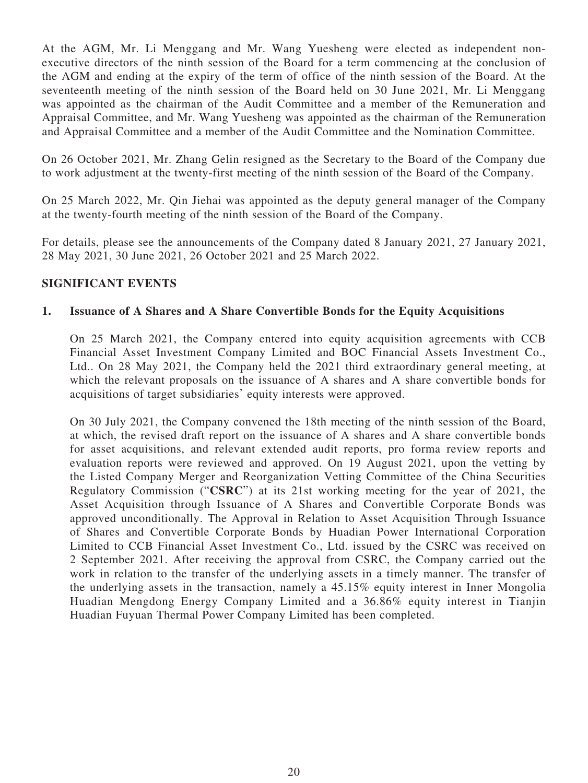At the AGM, Mr. Li Menggang and Mr. Wang Yuesheng were elected as independent nonexecutive directors of the ninth session of the Board for a term commencing at the conclusion of the AGM and ending at the expiry of the term of office of the ninth session of the Board. At the seventeenth meeting of the ninth session of the Board held on 30 June 2021, Mr. Li Menggang was appointed as the chairman of the Audit Committee and a member of the Remuneration and Appraisal Committee, and Mr. Wang Yuesheng was appointed as the chairman of the Remuneration and Appraisal Committee and a member of the Audit Committee and the Nomination Committee.

On 26 October 2021, Mr. Zhang Gelin resigned as the Secretary to the Board of the Company due to work adjustment at the twenty-first meeting of the ninth session of the Board of the Company.

On 25 March 2022, Mr. Qin Jiehai was appointed as the deputy general manager of the Company at the twenty-fourth meeting of the ninth session of the Board of the Company.

For details, please see the announcements of the Company dated 8 January 2021, 27 January 2021, 28 May 2021, 30 June 2021, 26 October 2021 and 25 March 2022.

#### **SIGNIFICANT EVENTS**

#### **1. Issuance of A Shares and A Share Convertible Bonds for the Equity Acquisitions**

On 25 March 2021, the Company entered into equity acquisition agreements with CCB Financial Asset Investment Company Limited and BOC Financial Assets Investment Co., Ltd.. On 28 May 2021, the Company held the 2021 third extraordinary general meeting, at which the relevant proposals on the issuance of A shares and A share convertible bonds for acquisitions of target subsidiaries' equity interests were approved.

On 30 July 2021, the Company convened the 18th meeting of the ninth session of the Board, at which, the revised draft report on the issuance of A shares and A share convertible bonds for asset acquisitions, and relevant extended audit reports, pro forma review reports and evaluation reports were reviewed and approved. On 19 August 2021, upon the vetting by the Listed Company Merger and Reorganization Vetting Committee of the China Securities Regulatory Commission ("**CSRC**") at its 21st working meeting for the year of 2021, the Asset Acquisition through Issuance of A Shares and Convertible Corporate Bonds was approved unconditionally. The Approval in Relation to Asset Acquisition Through Issuance of Shares and Convertible Corporate Bonds by Huadian Power International Corporation Limited to CCB Financial Asset Investment Co., Ltd. issued by the CSRC was received on 2 September 2021. After receiving the approval from CSRC, the Company carried out the work in relation to the transfer of the underlying assets in a timely manner. The transfer of the underlying assets in the transaction, namely a 45.15% equity interest in Inner Mongolia Huadian Mengdong Energy Company Limited and a 36.86% equity interest in Tianjin Huadian Fuyuan Thermal Power Company Limited has been completed.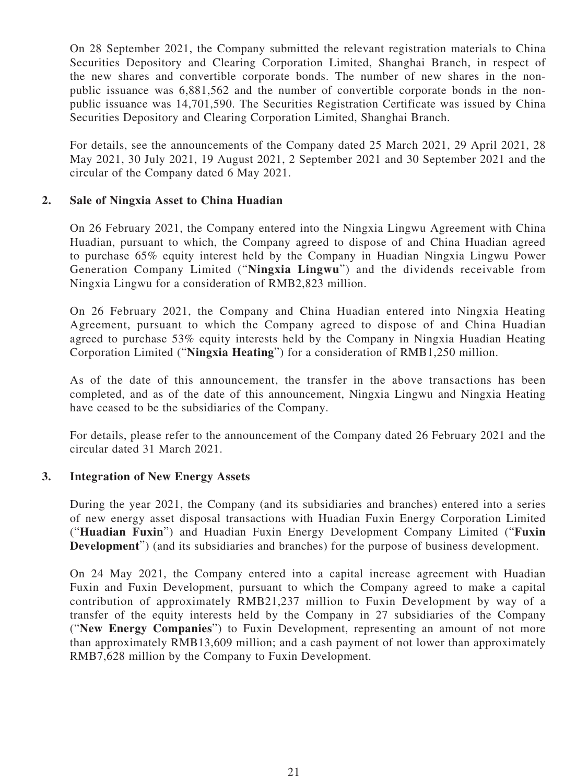On 28 September 2021, the Company submitted the relevant registration materials to China Securities Depository and Clearing Corporation Limited, Shanghai Branch, in respect of the new shares and convertible corporate bonds. The number of new shares in the nonpublic issuance was 6,881,562 and the number of convertible corporate bonds in the nonpublic issuance was 14,701,590. The Securities Registration Certificate was issued by China Securities Depository and Clearing Corporation Limited, Shanghai Branch.

For details, see the announcements of the Company dated 25 March 2021, 29 April 2021, 28 May 2021, 30 July 2021, 19 August 2021, 2 September 2021 and 30 September 2021 and the circular of the Company dated 6 May 2021.

#### **2. Sale of Ningxia Asset to China Huadian**

On 26 February 2021, the Company entered into the Ningxia Lingwu Agreement with China Huadian, pursuant to which, the Company agreed to dispose of and China Huadian agreed to purchase 65% equity interest held by the Company in Huadian Ningxia Lingwu Power Generation Company Limited ("**Ningxia Lingwu**") and the dividends receivable from Ningxia Lingwu for a consideration of RMB2,823 million.

On 26 February 2021, the Company and China Huadian entered into Ningxia Heating Agreement, pursuant to which the Company agreed to dispose of and China Huadian agreed to purchase 53% equity interests held by the Company in Ningxia Huadian Heating Corporation Limited ("**Ningxia Heating**") for a consideration of RMB1,250 million.

As of the date of this announcement, the transfer in the above transactions has been completed, and as of the date of this announcement, Ningxia Lingwu and Ningxia Heating have ceased to be the subsidiaries of the Company.

For details, please refer to the announcement of the Company dated 26 February 2021 and the circular dated 31 March 2021.

#### **3. Integration of New Energy Assets**

During the year 2021, the Company (and its subsidiaries and branches) entered into a series of new energy asset disposal transactions with Huadian Fuxin Energy Corporation Limited ("**Huadian Fuxin**") and Huadian Fuxin Energy Development Company Limited ("**Fuxin Development**") (and its subsidiaries and branches) for the purpose of business development.

On 24 May 2021, the Company entered into a capital increase agreement with Huadian Fuxin and Fuxin Development, pursuant to which the Company agreed to make a capital contribution of approximately RMB21,237 million to Fuxin Development by way of a transfer of the equity interests held by the Company in 27 subsidiaries of the Company ("**New Energy Companies**") to Fuxin Development, representing an amount of not more than approximately RMB13,609 million; and a cash payment of not lower than approximately RMB7,628 million by the Company to Fuxin Development.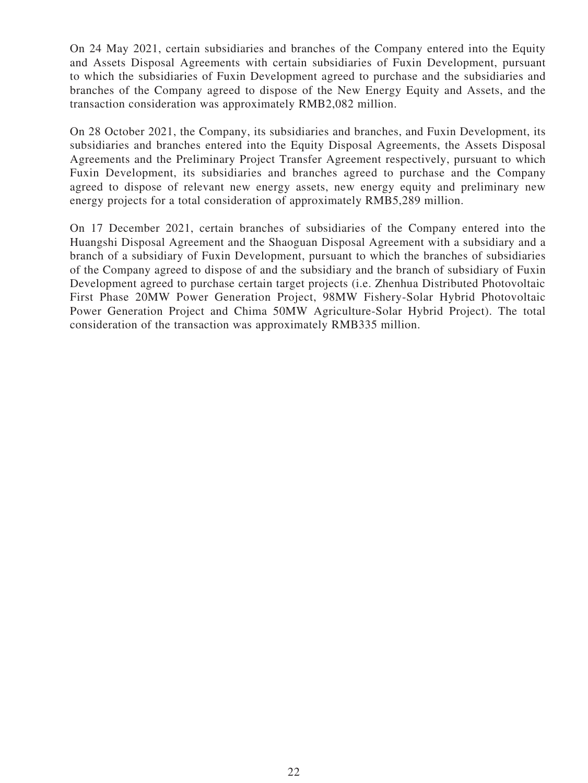On 24 May 2021, certain subsidiaries and branches of the Company entered into the Equity and Assets Disposal Agreements with certain subsidiaries of Fuxin Development, pursuant to which the subsidiaries of Fuxin Development agreed to purchase and the subsidiaries and branches of the Company agreed to dispose of the New Energy Equity and Assets, and the transaction consideration was approximately RMB2,082 million.

On 28 October 2021, the Company, its subsidiaries and branches, and Fuxin Development, its subsidiaries and branches entered into the Equity Disposal Agreements, the Assets Disposal Agreements and the Preliminary Project Transfer Agreement respectively, pursuant to which Fuxin Development, its subsidiaries and branches agreed to purchase and the Company agreed to dispose of relevant new energy assets, new energy equity and preliminary new energy projects for a total consideration of approximately RMB5,289 million.

On 17 December 2021, certain branches of subsidiaries of the Company entered into the Huangshi Disposal Agreement and the Shaoguan Disposal Agreement with a subsidiary and a branch of a subsidiary of Fuxin Development, pursuant to which the branches of subsidiaries of the Company agreed to dispose of and the subsidiary and the branch of subsidiary of Fuxin Development agreed to purchase certain target projects (i.e. Zhenhua Distributed Photovoltaic First Phase 20MW Power Generation Project, 98MW Fishery-Solar Hybrid Photovoltaic Power Generation Project and Chima 50MW Agriculture-Solar Hybrid Project). The total consideration of the transaction was approximately RMB335 million.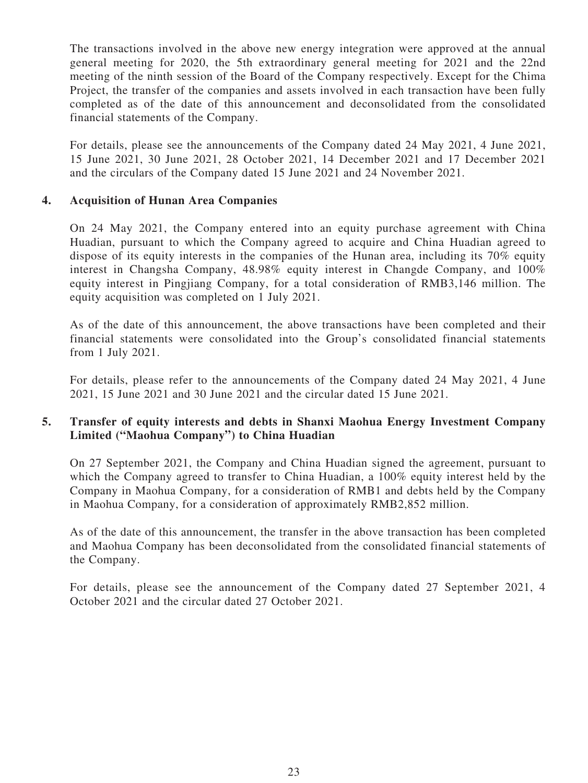The transactions involved in the above new energy integration were approved at the annual general meeting for 2020, the 5th extraordinary general meeting for 2021 and the 22nd meeting of the ninth session of the Board of the Company respectively. Except for the Chima Project, the transfer of the companies and assets involved in each transaction have been fully completed as of the date of this announcement and deconsolidated from the consolidated financial statements of the Company.

For details, please see the announcements of the Company dated 24 May 2021, 4 June 2021, 15 June 2021, 30 June 2021, 28 October 2021, 14 December 2021 and 17 December 2021 and the circulars of the Company dated 15 June 2021 and 24 November 2021.

## **4. Acquisition of Hunan Area Companies**

On 24 May 2021, the Company entered into an equity purchase agreement with China Huadian, pursuant to which the Company agreed to acquire and China Huadian agreed to dispose of its equity interests in the companies of the Hunan area, including its 70% equity interest in Changsha Company, 48.98% equity interest in Changde Company, and 100% equity interest in Pingjiang Company, for a total consideration of RMB3,146 million. The equity acquisition was completed on 1 July 2021.

As of the date of this announcement, the above transactions have been completed and their financial statements were consolidated into the Group's consolidated financial statements from 1 July 2021.

For details, please refer to the announcements of the Company dated 24 May 2021, 4 June 2021, 15 June 2021 and 30 June 2021 and the circular dated 15 June 2021.

## **5. Transfer of equity interests and debts in Shanxi Maohua Energy Investment Company Limited ("Maohua Company") to China Huadian**

On 27 September 2021, the Company and China Huadian signed the agreement, pursuant to which the Company agreed to transfer to China Huadian, a 100% equity interest held by the Company in Maohua Company, for a consideration of RMB1 and debts held by the Company in Maohua Company, for a consideration of approximately RMB2,852 million.

As of the date of this announcement, the transfer in the above transaction has been completed and Maohua Company has been deconsolidated from the consolidated financial statements of the Company.

For details, please see the announcement of the Company dated 27 September 2021, 4 October 2021 and the circular dated 27 October 2021.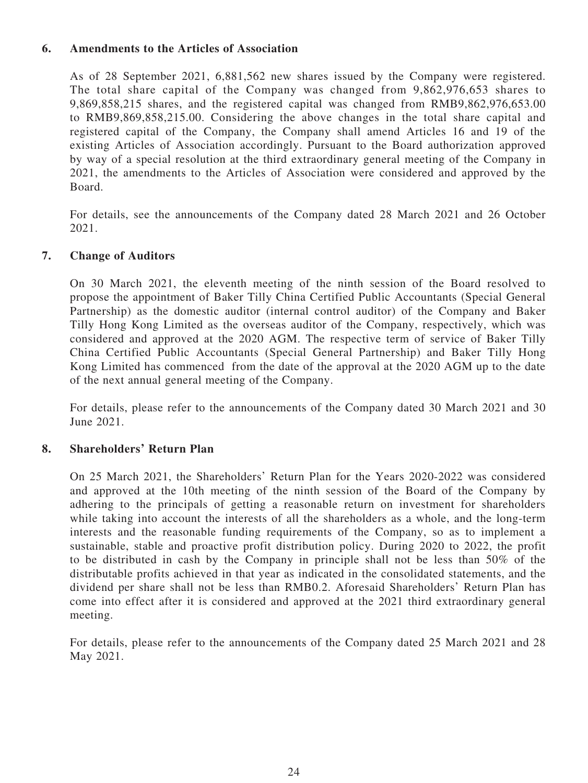#### **6. Amendments to the Articles of Association**

As of 28 September 2021, 6,881,562 new shares issued by the Company were registered. The total share capital of the Company was changed from 9,862,976,653 shares to 9,869,858,215 shares, and the registered capital was changed from RMB9,862,976,653.00 to RMB9,869,858,215.00. Considering the above changes in the total share capital and registered capital of the Company, the Company shall amend Articles 16 and 19 of the existing Articles of Association accordingly. Pursuant to the Board authorization approved by way of a special resolution at the third extraordinary general meeting of the Company in 2021, the amendments to the Articles of Association were considered and approved by the Board.

For details, see the announcements of the Company dated 28 March 2021 and 26 October 2021.

#### **7. Change of Auditors**

On 30 March 2021, the eleventh meeting of the ninth session of the Board resolved to propose the appointment of Baker Tilly China Certified Public Accountants (Special General Partnership) as the domestic auditor (internal control auditor) of the Company and Baker Tilly Hong Kong Limited as the overseas auditor of the Company, respectively, which was considered and approved at the 2020 AGM. The respective term of service of Baker Tilly China Certified Public Accountants (Special General Partnership) and Baker Tilly Hong Kong Limited has commenced from the date of the approval at the 2020 AGM up to the date of the next annual general meeting of the Company.

For details, please refer to the announcements of the Company dated 30 March 2021 and 30 June 2021.

#### **8. Shareholders' Return Plan**

On 25 March 2021, the Shareholders' Return Plan for the Years 2020-2022 was considered and approved at the 10th meeting of the ninth session of the Board of the Company by adhering to the principals of getting a reasonable return on investment for shareholders while taking into account the interests of all the shareholders as a whole, and the long-term interests and the reasonable funding requirements of the Company, so as to implement a sustainable, stable and proactive profit distribution policy. During 2020 to 2022, the profit to be distributed in cash by the Company in principle shall not be less than 50% of the distributable profits achieved in that year as indicated in the consolidated statements, and the dividend per share shall not be less than RMB0.2. Aforesaid Shareholders' Return Plan has come into effect after it is considered and approved at the 2021 third extraordinary general meeting.

For details, please refer to the announcements of the Company dated 25 March 2021 and 28 May 2021.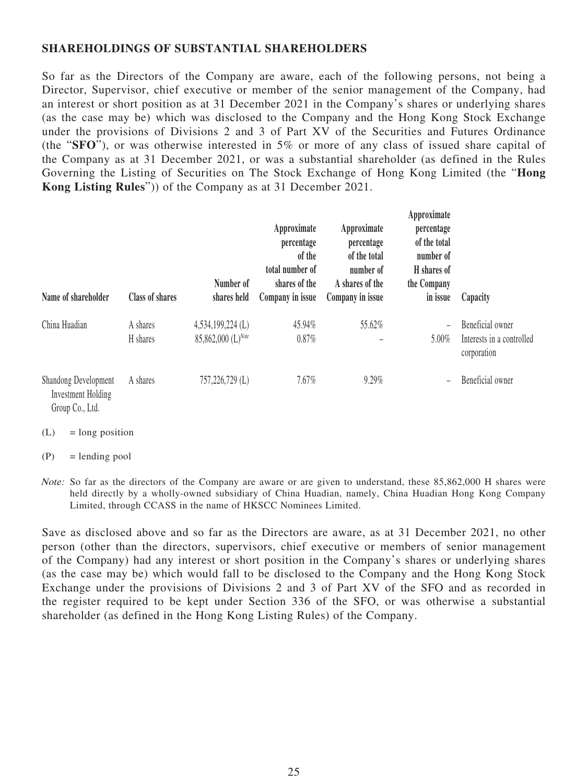#### **SHAREHOLDINGS OF SUBSTANTIAL SHAREHOLDERS**

So far as the Directors of the Company are aware, each of the following persons, not being a Director, Supervisor, chief executive or member of the senior management of the Company, had an interest or short position as at 31 December 2021 in the Company's shares or underlying shares (as the case may be) which was disclosed to the Company and the Hong Kong Stock Exchange under the provisions of Divisions 2 and 3 of Part XV of the Securities and Futures Ordinance (the "**SFO**"), or was otherwise interested in 5% or more of any class of issued share capital of the Company as at 31 December 2021, or was a substantial shareholder (as defined in the Rules Governing the Listing of Securities on The Stock Exchange of Hong Kong Limited (the "**Hong Kong Listing Rules**")) of the Company as at 31 December 2021.

| Name of shareholder                                                         | <b>Class of shares</b> | Number of<br>shares held | Approximate<br>percentage<br>of the<br>total number of<br>shares of the<br>Company in issue | Approximate<br>percentage<br>of the total<br>number of<br>A shares of the<br>Company in issue | Approximate<br>percentage<br>of the total<br>number of<br>H shares of<br>the Company<br>in issue | Capacity                                 |
|-----------------------------------------------------------------------------|------------------------|--------------------------|---------------------------------------------------------------------------------------------|-----------------------------------------------------------------------------------------------|--------------------------------------------------------------------------------------------------|------------------------------------------|
| China Huadian                                                               | A shares               | $4,534,199,224$ (L)      | 45.94%                                                                                      | 55.62%                                                                                        |                                                                                                  | Beneficial owner                         |
|                                                                             | H shares               | 85,862,000 (L)Note       | 0.87%                                                                                       |                                                                                               | 5.00%                                                                                            | Interests in a controlled<br>corporation |
| <b>Shandong Development</b><br><b>Investment Holding</b><br>Group Co., Ltd. | A shares               | 757,226,729 (L)          | 7.67%                                                                                       | 9.29%                                                                                         |                                                                                                  | Beneficial owner                         |

 $(L)$  = long position

 $(P)$  = lending pool

Note: So far as the directors of the Company are aware or are given to understand, these 85,862,000 H shares were held directly by a wholly-owned subsidiary of China Huadian, namely, China Huadian Hong Kong Company Limited, through CCASS in the name of HKSCC Nominees Limited.

Save as disclosed above and so far as the Directors are aware, as at 31 December 2021, no other person (other than the directors, supervisors, chief executive or members of senior management of the Company) had any interest or short position in the Company's shares or underlying shares (as the case may be) which would fall to be disclosed to the Company and the Hong Kong Stock Exchange under the provisions of Divisions 2 and 3 of Part XV of the SFO and as recorded in the register required to be kept under Section 336 of the SFO, or was otherwise a substantial shareholder (as defined in the Hong Kong Listing Rules) of the Company.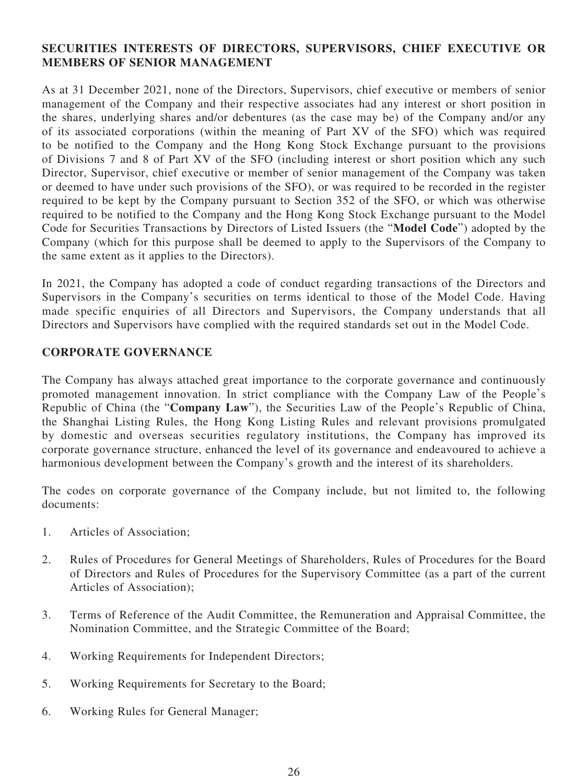## **SECURITIES INTERESTS OF DIRECTORS, SUPERVISORS, CHIEF EXECUTIVE OR MEMBERS OF SENIOR MANAGEMENT**

As at 31 December 2021, none of the Directors, Supervisors, chief executive or members of senior management of the Company and their respective associates had any interest or short position in the shares, underlying shares and/or debentures (as the case may be) of the Company and/or any of its associated corporations (within the meaning of Part XV of the SFO) which was required to be notified to the Company and the Hong Kong Stock Exchange pursuant to the provisions of Divisions 7 and 8 of Part XV of the SFO (including interest or short position which any such Director, Supervisor, chief executive or member of senior management of the Company was taken or deemed to have under such provisions of the SFO), or was required to be recorded in the register required to be kept by the Company pursuant to Section 352 of the SFO, or which was otherwise required to be notified to the Company and the Hong Kong Stock Exchange pursuant to the Model Code for Securities Transactions by Directors of Listed Issuers (the "**Model Code**") adopted by the Company (which for this purpose shall be deemed to apply to the Supervisors of the Company to the same extent as it applies to the Directors).

In 2021, the Company has adopted a code of conduct regarding transactions of the Directors and Supervisors in the Company's securities on terms identical to those of the Model Code. Having made specific enquiries of all Directors and Supervisors, the Company understands that all Directors and Supervisors have complied with the required standards set out in the Model Code.

## **CORPORATE GOVERNANCE**

The Company has always attached great importance to the corporate governance and continuously promoted management innovation. In strict compliance with the Company Law of the People's Republic of China (the "**Company Law**"), the Securities Law of the People's Republic of China, the Shanghai Listing Rules, the Hong Kong Listing Rules and relevant provisions promulgated by domestic and overseas securities regulatory institutions, the Company has improved its corporate governance structure, enhanced the level of its governance and endeavoured to achieve a harmonious development between the Company's growth and the interest of its shareholders.

The codes on corporate governance of the Company include, but not limited to, the following documents:

- 1. Articles of Association;
- 2. Rules of Procedures for General Meetings of Shareholders, Rules of Procedures for the Board of Directors and Rules of Procedures for the Supervisory Committee (as a part of the current Articles of Association);
- 3. Terms of Reference of the Audit Committee, the Remuneration and Appraisal Committee, the Nomination Committee, and the Strategic Committee of the Board;
- 4. Working Requirements for Independent Directors;
- 5. Working Requirements for Secretary to the Board;
- 6. Working Rules for General Manager;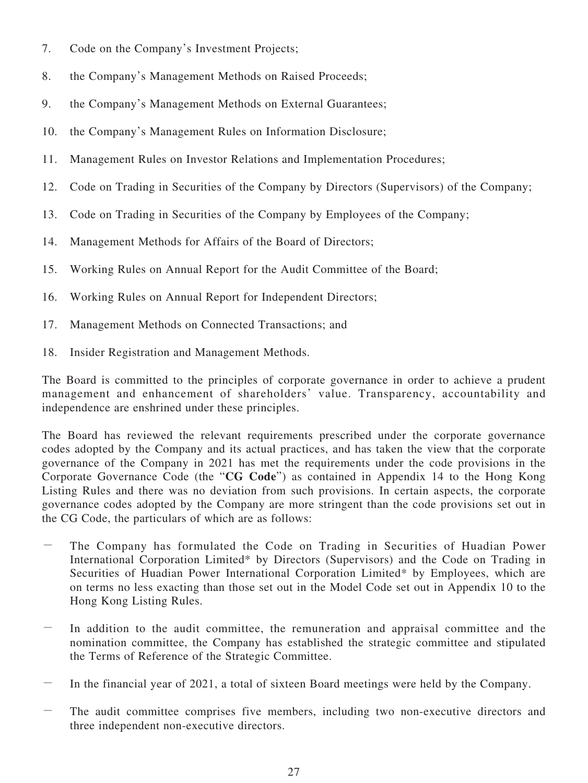- 7. Code on the Company's Investment Projects;
- 8. the Company's Management Methods on Raised Proceeds;
- 9. the Company's Management Methods on External Guarantees;
- 10. the Company's Management Rules on Information Disclosure;
- 11. Management Rules on Investor Relations and Implementation Procedures;
- 12. Code on Trading in Securities of the Company by Directors (Supervisors) of the Company;
- 13. Code on Trading in Securities of the Company by Employees of the Company;
- 14. Management Methods for Affairs of the Board of Directors;
- 15. Working Rules on Annual Report for the Audit Committee of the Board;
- 16. Working Rules on Annual Report for Independent Directors;
- 17. Management Methods on Connected Transactions; and
- 18. Insider Registration and Management Methods.

The Board is committed to the principles of corporate governance in order to achieve a prudent management and enhancement of shareholders' value. Transparency, accountability and independence are enshrined under these principles.

The Board has reviewed the relevant requirements prescribed under the corporate governance codes adopted by the Company and its actual practices, and has taken the view that the corporate governance of the Company in 2021 has met the requirements under the code provisions in the Corporate Governance Code (the "**CG Code**") as contained in Appendix 14 to the Hong Kong Listing Rules and there was no deviation from such provisions. In certain aspects, the corporate governance codes adopted by the Company are more stringent than the code provisions set out in the CG Code, the particulars of which are as follows:

- The Company has formulated the Code on Trading in Securities of Huadian Power International Corporation Limited\* by Directors (Supervisors) and the Code on Trading in Securities of Huadian Power International Corporation Limited\* by Employees, which are on terms no less exacting than those set out in the Model Code set out in Appendix 10 to the Hong Kong Listing Rules.
- In addition to the audit committee, the remuneration and appraisal committee and the nomination committee, the Company has established the strategic committee and stipulated the Terms of Reference of the Strategic Committee.
- In the financial year of 2021, a total of sixteen Board meetings were held by the Company.
- The audit committee comprises five members, including two non-executive directors and three independent non-executive directors.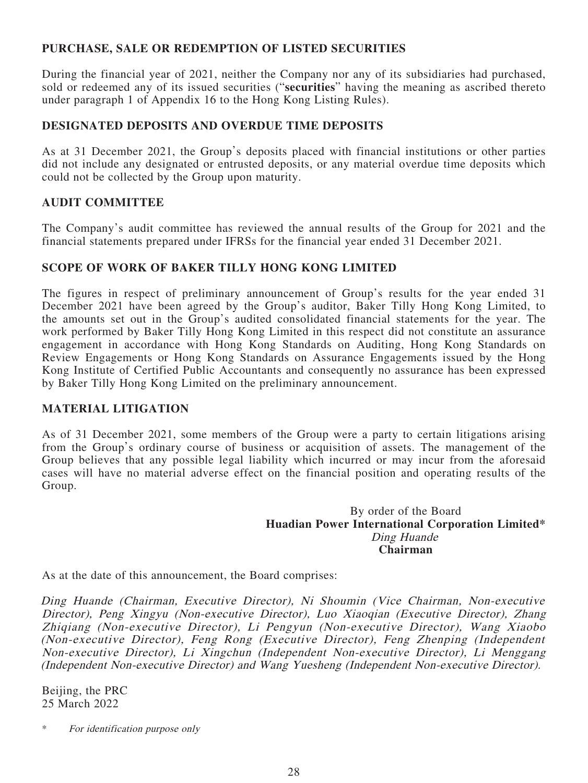#### **PURCHASE, SALE OR REDEMPTION OF LISTED SECURITIES**

During the financial year of 2021, neither the Company nor any of its subsidiaries had purchased, sold or redeemed any of its issued securities ("**securities**" having the meaning as ascribed thereto under paragraph 1 of Appendix 16 to the Hong Kong Listing Rules).

## **DESIGNATED DEPOSITS AND OVERDUE TIME DEPOSITS**

As at 31 December 2021, the Group's deposits placed with financial institutions or other parties did not include any designated or entrusted deposits, or any material overdue time deposits which could not be collected by the Group upon maturity.

## **AUDIT COMMITTEE**

The Company's audit committee has reviewed the annual results of the Group for 2021 and the financial statements prepared under IFRSs for the financial year ended 31 December 2021.

## **SCOPE OF WORK OF BAKER TILLY HONG KONG LIMITED**

The figures in respect of preliminary announcement of Group's results for the year ended 31 December 2021 have been agreed by the Group's auditor, Baker Tilly Hong Kong Limited, to the amounts set out in the Group's audited consolidated financial statements for the year. The work performed by Baker Tilly Hong Kong Limited in this respect did not constitute an assurance engagement in accordance with Hong Kong Standards on Auditing, Hong Kong Standards on Review Engagements or Hong Kong Standards on Assurance Engagements issued by the Hong Kong Institute of Certified Public Accountants and consequently no assurance has been expressed by Baker Tilly Hong Kong Limited on the preliminary announcement.

#### **MATERIAL LITIGATION**

As of 31 December 2021, some members of the Group were a party to certain litigations arising from the Group's ordinary course of business or acquisition of assets. The management of the Group believes that any possible legal liability which incurred or may incur from the aforesaid cases will have no material adverse effect on the financial position and operating results of the Group.

#### By order of the Board **Huadian Power International Corporation Limited\*** Ding Huande **Chairman**

As at the date of this announcement, the Board comprises:

Ding Huande (Chairman, Executive Director), Ni Shoumin (Vice Chairman, Non-executive Director), Peng Xingyu (Non-executive Director), Luo Xiaoqian (Executive Director), Zhang Zhiqiang (Non-executive Director), Li Pengyun (Non-executive Director), Wang Xiaobo (Non-executive Director), Feng Rong (Executive Director), Feng Zhenping (Independent Non-executive Director), Li Xingchun (Independent Non-executive Director), Li Menggang (Independent Non-executive Director) and Wang Yuesheng (Independent Non-executive Director).

Beijing, the PRC 25 March 2022

<sup>\*</sup> For identification purpose only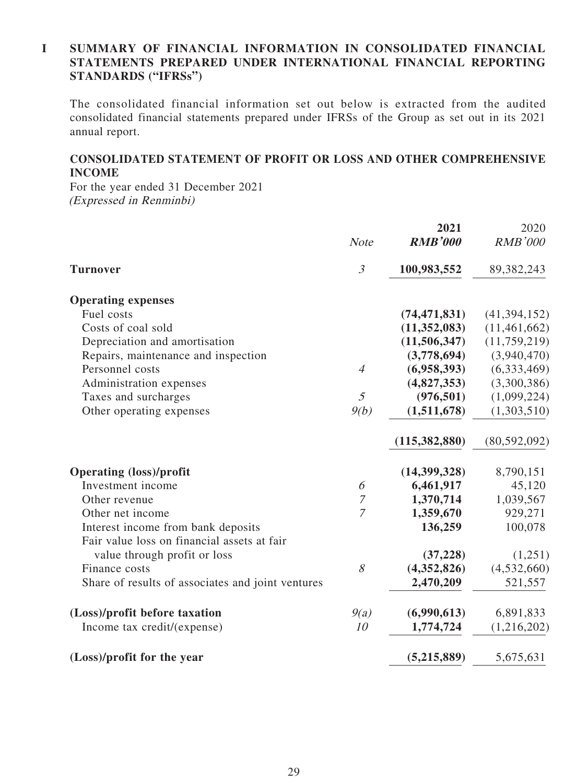#### **I SUMMARY OF FINANCIAL INFORMATION IN CONSOLIDATED FINANCIAL STATEMENTS PREPARED UNDER INTERNATIONAL FINANCIAL REPORTING STANDARDS ("IFRSs")**

The consolidated financial information set out below is extracted from the audited consolidated financial statements prepared under IFRSs of the Group as set out in its 2021 annual report.

#### **CONSOLIDATED STATEMENT OF PROFIT OR LOSS AND OTHER COMPREHENSIVE INCOME**

For the year ended 31 December 2021 (Expressed in Renminbi)

|                                                   | <b>Note</b>    | 2021<br><b>RMB'000</b> | 2020<br><b>RMB'000</b> |
|---------------------------------------------------|----------------|------------------------|------------------------|
| <b>Turnover</b>                                   | $\mathfrak{Z}$ | 100,983,552            | 89, 382, 243           |
| <b>Operating expenses</b>                         |                |                        |                        |
| Fuel costs                                        |                | (74, 471, 831)         | (41, 394, 152)         |
| Costs of coal sold                                |                | (11,352,083)           | (11, 461, 662)         |
| Depreciation and amortisation                     |                | (11,506,347)           | (11, 759, 219)         |
| Repairs, maintenance and inspection               |                | (3,778,694)            | (3,940,470)            |
| Personnel costs                                   | $\overline{4}$ | (6,958,393)            | (6,333,469)            |
| Administration expenses                           |                | (4,827,353)            | (3,300,386)            |
| Taxes and surcharges                              | $\mathfrak{I}$ | (976, 501)             | (1,099,224)            |
| Other operating expenses                          | 9(b)           | (1,511,678)            | (1,303,510)            |
|                                                   |                | (115,382,880)          | (80, 592, 092)         |
| <b>Operating (loss)/profit</b>                    |                | (14,399,328)           | 8,790,151              |
| Investment income                                 | 6              | 6,461,917              | 45,120                 |
| Other revenue                                     | $\overline{7}$ | 1,370,714              | 1,039,567              |
| Other net income                                  | $\overline{7}$ | 1,359,670              | 929,271                |
| Interest income from bank deposits                |                | 136,259                | 100,078                |
| Fair value loss on financial assets at fair       |                |                        |                        |
| value through profit or loss                      |                | (37, 228)              | (1,251)                |
| Finance costs                                     | 8              | (4,352,826)            | (4,532,660)            |
| Share of results of associates and joint ventures |                | 2,470,209              | 521,557                |
| (Loss)/profit before taxation                     | 9(a)           | (6,990,613)            | 6,891,833              |
| Income tax credit/(expense)                       | 10             | 1,774,724              | (1,216,202)            |
| (Loss)/profit for the year                        |                | (5,215,889)            | 5,675,631              |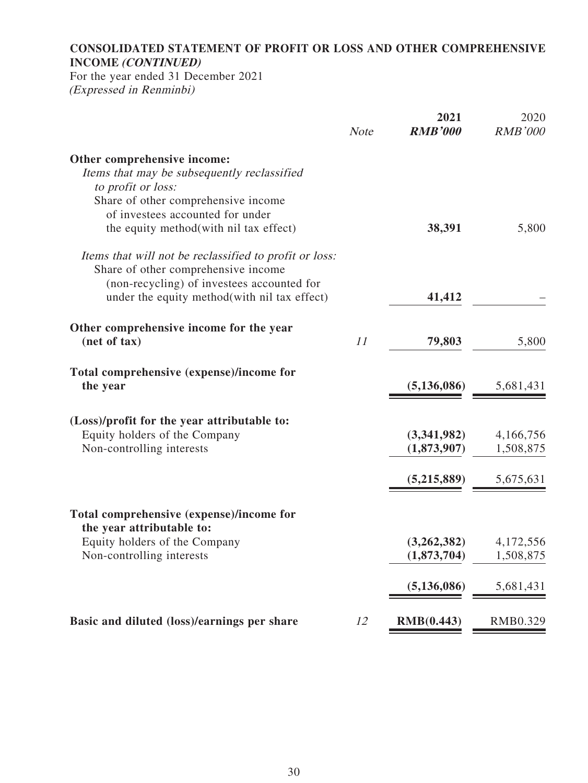## **CONSOLIDATED STATEMENT OF PROFIT OR LOSS AND OTHER COMPREHENSIVE INCOME (CONTINUED)**

For the year ended 31 December 2021 (Expressed in Renminbi)

| <b>Note</b> | 2021<br><b>RMB'000</b> | 2020<br><b>RMB'000</b>                             |
|-------------|------------------------|----------------------------------------------------|
|             |                        |                                                    |
|             |                        |                                                    |
|             |                        |                                                    |
|             |                        |                                                    |
|             |                        |                                                    |
|             |                        | 5,800                                              |
|             |                        |                                                    |
|             |                        |                                                    |
|             |                        |                                                    |
|             | 41,412                 |                                                    |
|             |                        |                                                    |
| 11          | 79,803                 | 5,800                                              |
|             |                        |                                                    |
|             | (5, 136, 086)          | 5,681,431                                          |
|             |                        |                                                    |
|             |                        | 4,166,756                                          |
|             | (1,873,907)            | 1,508,875                                          |
|             |                        |                                                    |
|             |                        | 5,675,631                                          |
|             |                        |                                                    |
|             |                        |                                                    |
|             | (3,262,382)            | 4,172,556                                          |
|             | (1,873,704)            | 1,508,875                                          |
|             | (5, 136, 086)          | 5,681,431                                          |
|             |                        | RMB0.329                                           |
|             | 12                     | 38,391<br>(3,341,982)<br>(5,215,889)<br>RMB(0.443) |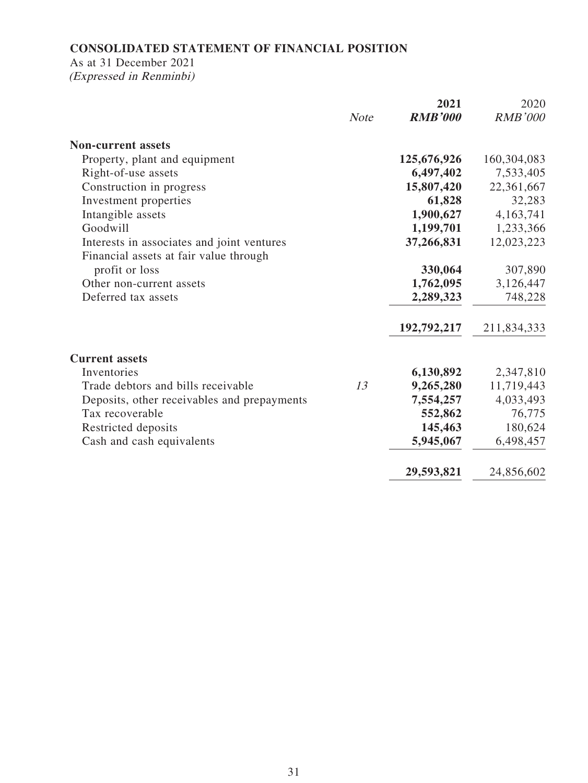## **CONSOLIDATED STATEMENT OF FINANCIAL POSITION**

## As at 31 December 2021

(Expressed in Renminbi)

|                                             |             | 2021           | 2020           |
|---------------------------------------------|-------------|----------------|----------------|
|                                             | <b>Note</b> | <b>RMB'000</b> | <b>RMB'000</b> |
| <b>Non-current assets</b>                   |             |                |                |
| Property, plant and equipment               |             | 125,676,926    | 160,304,083    |
| Right-of-use assets                         |             | 6,497,402      | 7,533,405      |
| Construction in progress                    |             | 15,807,420     | 22,361,667     |
| Investment properties                       |             | 61,828         | 32,283         |
| Intangible assets                           |             | 1,900,627      | 4,163,741      |
| Goodwill                                    |             | 1,199,701      | 1,233,366      |
| Interests in associates and joint ventures  |             | 37,266,831     | 12,023,223     |
| Financial assets at fair value through      |             |                |                |
| profit or loss                              |             | 330,064        | 307,890        |
| Other non-current assets                    |             | 1,762,095      | 3,126,447      |
| Deferred tax assets                         |             | 2,289,323      | 748,228        |
|                                             |             | 192,792,217    | 211,834,333    |
| <b>Current assets</b>                       |             |                |                |
| Inventories                                 |             | 6,130,892      | 2,347,810      |
| Trade debtors and bills receivable          | 13          | 9,265,280      | 11,719,443     |
| Deposits, other receivables and prepayments |             | 7,554,257      | 4,033,493      |
| Tax recoverable                             |             | 552,862        | 76,775         |
| Restricted deposits                         |             | 145,463        | 180,624        |
| Cash and cash equivalents                   |             | 5,945,067      | 6,498,457      |
|                                             |             | 29,593,821     | 24,856,602     |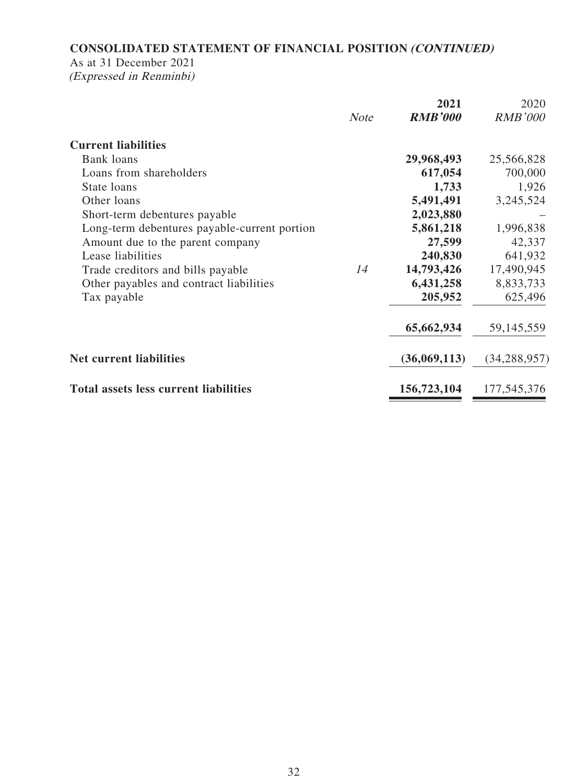## **CONSOLIDATED STATEMENT OF FINANCIAL POSITION (CONTINUED)**

## As at 31 December 2021

(Expressed in Renminbi)

|                                              |             | 2021           | 2020           |
|----------------------------------------------|-------------|----------------|----------------|
|                                              | <b>Note</b> | <b>RMB'000</b> | <b>RMB'000</b> |
| <b>Current liabilities</b>                   |             |                |                |
| Bank loans                                   |             | 29,968,493     | 25,566,828     |
| Loans from shareholders                      |             | 617,054        | 700,000        |
| State loans                                  |             | 1,733          | 1,926          |
| Other loans                                  |             | 5,491,491      | 3,245,524      |
| Short-term debentures payable                |             | 2,023,880      |                |
| Long-term debentures payable-current portion |             | 5,861,218      | 1,996,838      |
| Amount due to the parent company             |             | 27,599         | 42,337         |
| Lease liabilities                            |             | 240,830        | 641,932        |
| Trade creditors and bills payable            | 14          | 14,793,426     | 17,490,945     |
| Other payables and contract liabilities      |             | 6,431,258      | 8,833,733      |
| Tax payable                                  |             | 205,952        | 625,496        |
|                                              |             | 65,662,934     | 59,145,559     |
| <b>Net current liabilities</b>               |             | (36,069,113)   | (34, 288, 957) |
| <b>Total assets less current liabilities</b> |             | 156,723,104    | 177,545,376    |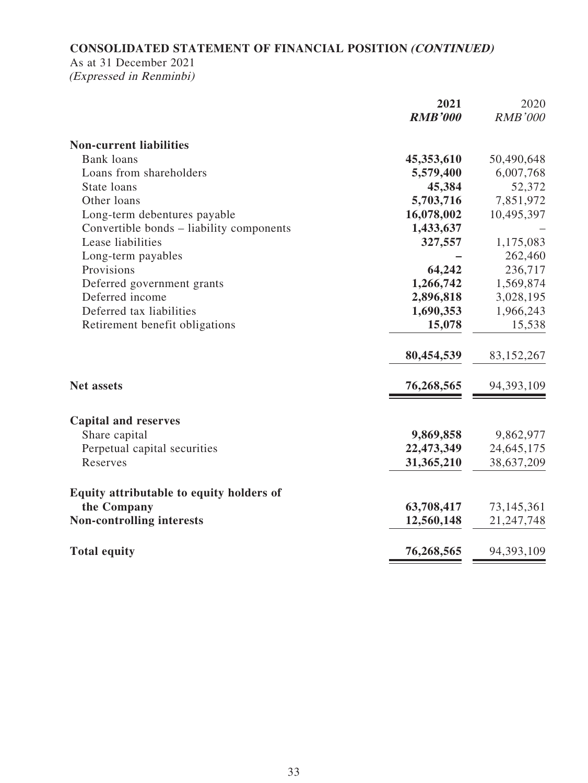## **CONSOLIDATED STATEMENT OF FINANCIAL POSITION (CONTINUED)**

## As at 31 December 2021

(Expressed in Renminbi)

|                                          | 2021           | 2020           |
|------------------------------------------|----------------|----------------|
|                                          | <b>RMB'000</b> | <b>RMB'000</b> |
| <b>Non-current liabilities</b>           |                |                |
| <b>Bank loans</b>                        | 45,353,610     | 50,490,648     |
| Loans from shareholders                  | 5,579,400      | 6,007,768      |
| State loans                              | 45,384         | 52,372         |
| Other loans                              | 5,703,716      | 7,851,972      |
| Long-term debentures payable             | 16,078,002     | 10,495,397     |
| Convertible bonds – liability components | 1,433,637      |                |
| Lease liabilities                        | 327,557        | 1,175,083      |
| Long-term payables                       |                | 262,460        |
| Provisions                               | 64,242         | 236,717        |
| Deferred government grants               | 1,266,742      | 1,569,874      |
| Deferred income                          | 2,896,818      | 3,028,195      |
| Deferred tax liabilities                 | 1,690,353      | 1,966,243      |
| Retirement benefit obligations           | 15,078         | 15,538         |
|                                          | 80,454,539     | 83,152,267     |
| <b>Net assets</b>                        | 76,268,565     | 94,393,109     |
| <b>Capital and reserves</b>              |                |                |
| Share capital                            | 9,869,858      | 9,862,977      |
| Perpetual capital securities             | 22,473,349     | 24, 645, 175   |
| Reserves                                 | 31,365,210     | 38,637,209     |
| Equity attributable to equity holders of |                |                |
| the Company                              | 63,708,417     | 73,145,361     |
| <b>Non-controlling interests</b>         | 12,560,148     | 21, 247, 748   |
| <b>Total equity</b>                      | 76,268,565     | 94,393,109     |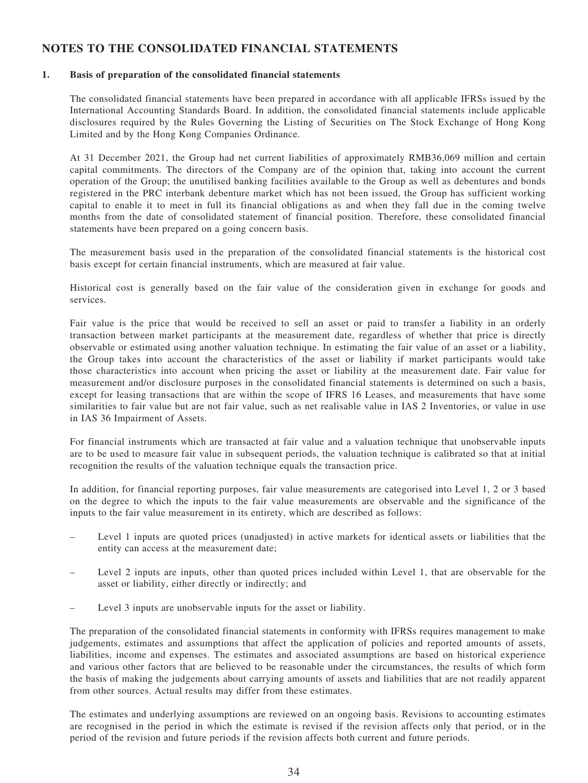## **NOTES TO THE CONSOLIDATED FINANCIAL STATEMENTS**

#### **1. Basis of preparation of the consolidated financial statements**

The consolidated financial statements have been prepared in accordance with all applicable IFRSs issued by the International Accounting Standards Board. In addition, the consolidated financial statements include applicable disclosures required by the Rules Governing the Listing of Securities on The Stock Exchange of Hong Kong Limited and by the Hong Kong Companies Ordinance.

At 31 December 2021, the Group had net current liabilities of approximately RMB36,069 million and certain capital commitments. The directors of the Company are of the opinion that, taking into account the current operation of the Group; the unutilised banking facilities available to the Group as well as debentures and bonds registered in the PRC interbank debenture market which has not been issued, the Group has sufficient working capital to enable it to meet in full its financial obligations as and when they fall due in the coming twelve months from the date of consolidated statement of financial position. Therefore, these consolidated financial statements have been prepared on a going concern basis.

The measurement basis used in the preparation of the consolidated financial statements is the historical cost basis except for certain financial instruments, which are measured at fair value.

Historical cost is generally based on the fair value of the consideration given in exchange for goods and services.

Fair value is the price that would be received to sell an asset or paid to transfer a liability in an orderly transaction between market participants at the measurement date, regardless of whether that price is directly observable or estimated using another valuation technique. In estimating the fair value of an asset or a liability, the Group takes into account the characteristics of the asset or liability if market participants would take those characteristics into account when pricing the asset or liability at the measurement date. Fair value for measurement and/or disclosure purposes in the consolidated financial statements is determined on such a basis, except for leasing transactions that are within the scope of IFRS 16 Leases, and measurements that have some similarities to fair value but are not fair value, such as net realisable value in IAS 2 Inventories, or value in use in IAS 36 Impairment of Assets.

For financial instruments which are transacted at fair value and a valuation technique that unobservable inputs are to be used to measure fair value in subsequent periods, the valuation technique is calibrated so that at initial recognition the results of the valuation technique equals the transaction price.

In addition, for financial reporting purposes, fair value measurements are categorised into Level 1, 2 or 3 based on the degree to which the inputs to the fair value measurements are observable and the significance of the inputs to the fair value measurement in its entirety, which are described as follows:

- Level 1 inputs are quoted prices (unadjusted) in active markets for identical assets or liabilities that the entity can access at the measurement date;
- Level 2 inputs are inputs, other than quoted prices included within Level 1, that are observable for the asset or liability, either directly or indirectly; and
- Level 3 inputs are unobservable inputs for the asset or liability.

The preparation of the consolidated financial statements in conformity with IFRSs requires management to make judgements, estimates and assumptions that affect the application of policies and reported amounts of assets, liabilities, income and expenses. The estimates and associated assumptions are based on historical experience and various other factors that are believed to be reasonable under the circumstances, the results of which form the basis of making the judgements about carrying amounts of assets and liabilities that are not readily apparent from other sources. Actual results may differ from these estimates.

The estimates and underlying assumptions are reviewed on an ongoing basis. Revisions to accounting estimates are recognised in the period in which the estimate is revised if the revision affects only that period, or in the period of the revision and future periods if the revision affects both current and future periods.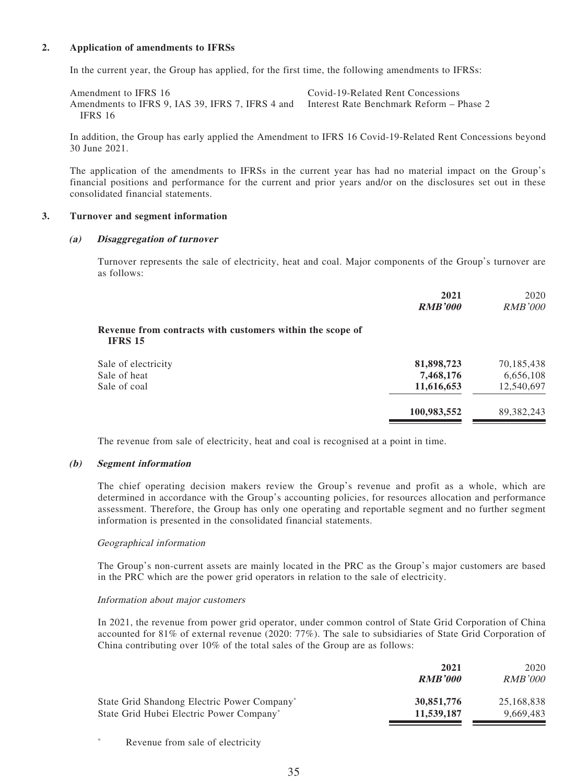#### **2. Application of amendments to IFRSs**

In the current year, the Group has applied, for the first time, the following amendments to IFRSs:

Amendment to IFRS 16 Covid-19-Related Rent Concessions Amendments to IFRS 9, IAS 39, IFRS 7, IFRS 4 and IFRS 16 Interest Rate Benchmark Reform – Phase 2

In addition, the Group has early applied the Amendment to IFRS 16 Covid-19-Related Rent Concessions beyond 30 June 2021.

The application of the amendments to IFRSs in the current year has had no material impact on the Group's financial positions and performance for the current and prior years and/or on the disclosures set out in these consolidated financial statements.

#### **3. Turnover and segment information**

#### **(a) Disaggregation of turnover**

Turnover represents the sale of electricity, heat and coal. Major components of the Group's turnover are as follows:

|                                                                             | 2021<br><b>RMB'000</b> | 2020<br><i>RMB'000</i> |
|-----------------------------------------------------------------------------|------------------------|------------------------|
| Revenue from contracts with customers within the scope of<br><b>IFRS 15</b> |                        |                        |
| Sale of electricity                                                         | 81,898,723             | 70,185,438             |
| Sale of heat                                                                | 7,468,176              | 6,656,108              |
| Sale of coal                                                                | 11,616,653             | 12,540,697             |
|                                                                             | 100,983,552            | 89, 382, 243           |

The revenue from sale of electricity, heat and coal is recognised at a point in time.

#### **(b) Segment information**

The chief operating decision makers review the Group's revenue and profit as a whole, which are determined in accordance with the Group's accounting policies, for resources allocation and performance assessment. Therefore, the Group has only one operating and reportable segment and no further segment information is presented in the consolidated financial statements.

#### Geographical information

The Group's non-current assets are mainly located in the PRC as the Group's major customers are based in the PRC which are the power grid operators in relation to the sale of electricity.

#### Information about major customers

In 2021, the revenue from power grid operator, under common control of State Grid Corporation of China accounted for 81% of external revenue (2020: 77%). The sale to subsidiaries of State Grid Corporation of China contributing over 10% of the total sales of the Group are as follows:

|                                                      | 2021           | 2020           |
|------------------------------------------------------|----------------|----------------|
|                                                      | <b>RMB'000</b> | <i>RMB'000</i> |
| State Grid Shandong Electric Power Company*          | 30,851,776     | 25,168,838     |
| State Grid Hubei Electric Power Company <sup>*</sup> | 11,539,187     | 9.669.483      |

\* Revenue from sale of electricity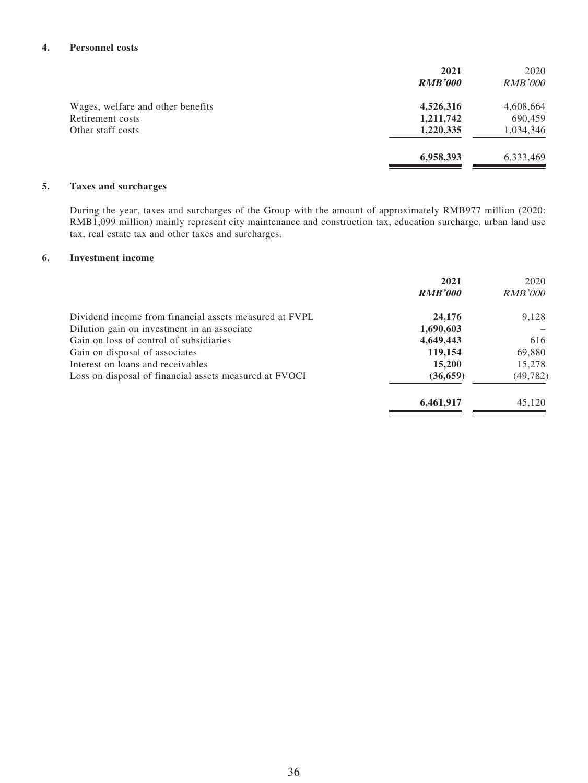#### **4. Personnel costs**

|                                   | 2021           | 2020           |
|-----------------------------------|----------------|----------------|
|                                   | <b>RMB'000</b> | <i>RMB'000</i> |
| Wages, welfare and other benefits | 4,526,316      | 4,608,664      |
| Retirement costs                  | 1,211,742      | 690,459        |
| Other staff costs                 | 1,220,335      | 1,034,346      |
|                                   | 6,958,393      | 6,333,469      |

#### **5. Taxes and surcharges**

During the year, taxes and surcharges of the Group with the amount of approximately RMB977 million (2020: RMB1,099 million) mainly represent city maintenance and construction tax, education surcharge, urban land use tax, real estate tax and other taxes and surcharges.

#### **6. Investment income**

|                                                        | 2021<br><b>RMB'000</b> | 2020<br><i>RMB'000</i> |
|--------------------------------------------------------|------------------------|------------------------|
|                                                        |                        |                        |
| Dividend income from financial assets measured at FVPL | 24,176                 | 9,128                  |
| Dilution gain on investment in an associate            | 1,690,603              |                        |
| Gain on loss of control of subsidiaries                | 4,649,443              | 616                    |
| Gain on disposal of associates                         | 119,154                | 69,880                 |
| Interest on loans and receivables                      | 15,200                 | 15,278                 |
| Loss on disposal of financial assets measured at FVOCI | (36, 659)              | (49, 782)              |
|                                                        | 6,461,917              | 45,120                 |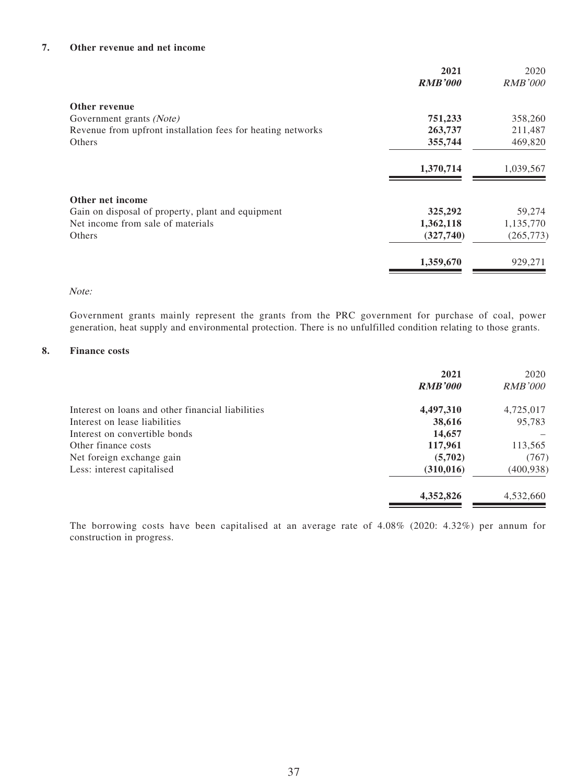#### **7. Other revenue and net income**

|                                                             | 2021<br><b>RMB'000</b> | 2020<br><i>RMB'000</i> |
|-------------------------------------------------------------|------------------------|------------------------|
|                                                             |                        |                        |
| Other revenue                                               |                        |                        |
| Government grants (Note)                                    | 751,233                | 358,260                |
| Revenue from upfront installation fees for heating networks | 263,737                | 211,487                |
| Others                                                      | 355,744                | 469,820                |
|                                                             | 1,370,714              | 1,039,567              |
| Other net income                                            |                        |                        |
| Gain on disposal of property, plant and equipment           | 325,292                | 59,274                 |
| Net income from sale of materials                           | 1,362,118              | 1,135,770              |
| Others                                                      | (327,740)              | (265, 773)             |
|                                                             | 1,359,670              | 929,271                |

#### Note:

Government grants mainly represent the grants from the PRC government for purchase of coal, power generation, heat supply and environmental protection. There is no unfulfilled condition relating to those grants.

#### **8. Finance costs**

|                                                   | 2021<br><b>RMB'000</b> | 2020<br><i>RMB'000</i> |
|---------------------------------------------------|------------------------|------------------------|
| Interest on loans and other financial liabilities | 4,497,310              | 4,725,017              |
| Interest on lease liabilities                     | 38,616                 | 95,783                 |
| Interest on convertible bonds                     | 14,657                 |                        |
| Other finance costs                               | 117,961                | 113,565                |
| Net foreign exchange gain                         | (5,702)                | (767)                  |
| Less: interest capitalised                        | (310, 016)             | (400, 938)             |
|                                                   | 4,352,826              | 4,532,660              |

The borrowing costs have been capitalised at an average rate of 4.08% (2020: 4.32%) per annum for construction in progress.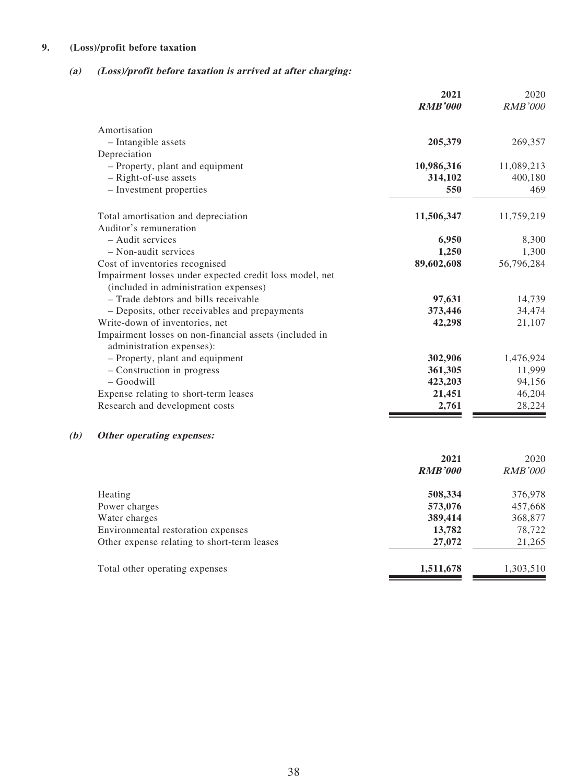#### **9. (Loss)/profit before taxation**

#### **(a) (Loss)/profit before taxation is arrived at after charging:**

|                                                         | 2021<br><b>RMB'000</b> | 2020<br><b>RMB'000</b> |
|---------------------------------------------------------|------------------------|------------------------|
| Amortisation                                            |                        |                        |
| - Intangible assets                                     | 205,379                | 269,357                |
| Depreciation                                            |                        |                        |
| - Property, plant and equipment                         | 10,986,316             | 11,089,213             |
| - Right-of-use assets                                   | 314,102                | 400,180                |
| - Investment properties                                 | 550                    | 469                    |
| Total amortisation and depreciation                     | 11,506,347             | 11,759,219             |
| Auditor's remuneration                                  |                        |                        |
| - Audit services                                        | 6,950                  | 8,300                  |
| - Non-audit services                                    | 1,250                  | 1,300                  |
| Cost of inventories recognised                          | 89,602,608             | 56,796,284             |
| Impairment losses under expected credit loss model, net |                        |                        |
| (included in administration expenses)                   |                        |                        |
| - Trade debtors and bills receivable                    | 97,631                 | 14,739                 |
| - Deposits, other receivables and prepayments           | 373,446                | 34,474                 |
| Write-down of inventories, net                          | 42,298                 | 21,107                 |
| Impairment losses on non-financial assets (included in  |                        |                        |
| administration expenses):                               |                        |                        |
| - Property, plant and equipment                         | 302,906                | 1,476,924              |
| - Construction in progress                              | 361,305                | 11,999                 |
| $-$ Goodwill                                            | 423,203                | 94,156                 |
| Expense relating to short-term leases                   | 21,451                 | 46,204                 |
| Research and development costs                          | 2,761                  | 28,224                 |

## **(b) Other operating expenses:**

|                                             | 2021<br><b>RMB'000</b> | 2020<br><i>RMB'000</i> |
|---------------------------------------------|------------------------|------------------------|
| Heating                                     | 508,334                | 376,978                |
| Power charges                               | 573,076                | 457,668                |
| Water charges                               | 389,414                | 368,877                |
| Environmental restoration expenses          | 13,782                 | 78,722                 |
| Other expense relating to short-term leases | 27,072                 | 21,265                 |
| Total other operating expenses              | 1,511,678              | 1,303,510              |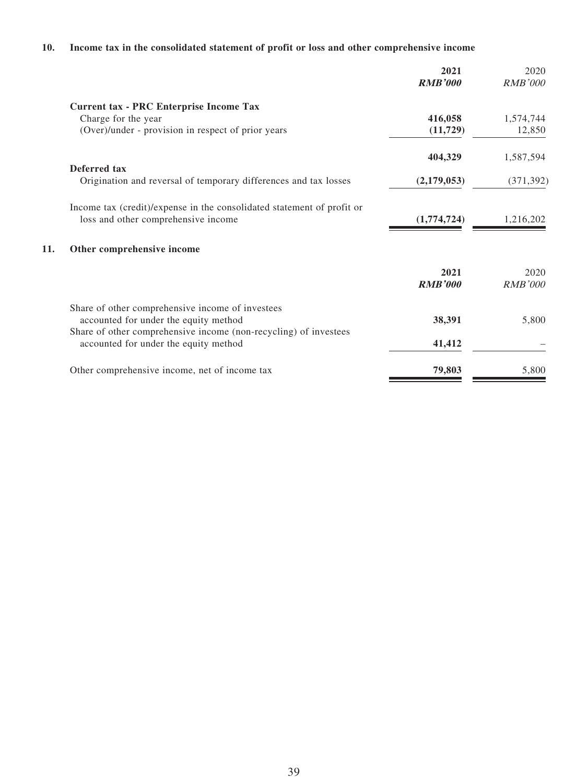#### **10. Income tax in the consolidated statement of profit or loss and other comprehensive income**

|                                                                  | 2021<br><b>RMB'000</b>                                                 | 2020<br><b>RMB'000</b> |
|------------------------------------------------------------------|------------------------------------------------------------------------|------------------------|
| Current tax - PRC Enterprise Income Tax                          |                                                                        |                        |
| Charge for the year                                              | 416,058                                                                | 1,574,744              |
| (Over)/under - provision in respect of prior years               | (11, 729)                                                              | 12,850                 |
|                                                                  | 404,329                                                                | 1,587,594              |
| Deferred tax                                                     |                                                                        |                        |
| Origination and reversal of temporary differences and tax losses | (2,179,053)                                                            | (371, 392)             |
|                                                                  |                                                                        |                        |
| loss and other comprehensive income                              | (1,774,724)                                                            | 1,216,202              |
| Other comprehensive income                                       |                                                                        |                        |
|                                                                  | 2021                                                                   | 2020                   |
|                                                                  | <b>RMB'000</b>                                                         | <b>RMB'000</b>         |
| Share of other comprehensive income of investees                 |                                                                        |                        |
| accounted for under the equity method                            | 38,391                                                                 | 5,800                  |
| Share of other comprehensive income (non-recycling) of investees |                                                                        |                        |
| accounted for under the equity method                            | 41,412                                                                 |                        |
| Other comprehensive income, net of income tax                    | 79,803                                                                 | 5,800                  |
|                                                                  | Income tax (credit)/expense in the consolidated statement of profit or |                        |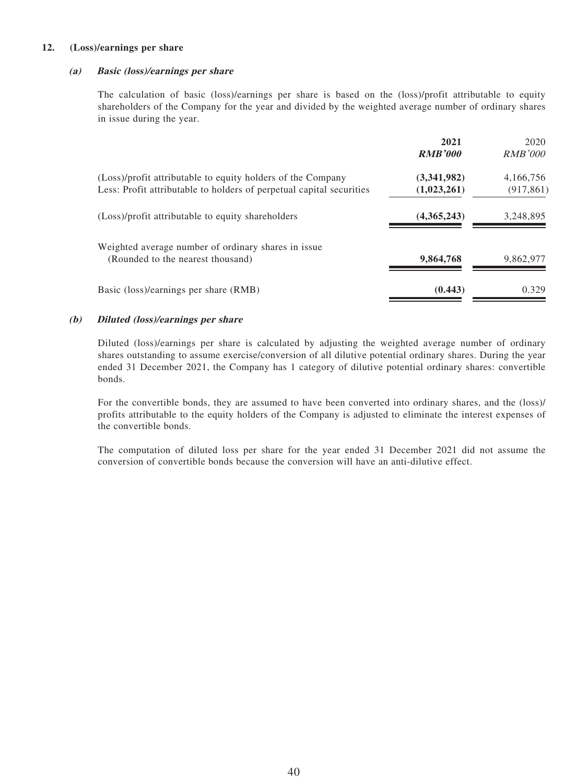#### **12. (Loss)/earnings per share**

#### **(a) Basic (loss)/earnings per share**

The calculation of basic (loss)/earnings per share is based on the (loss)/profit attributable to equity shareholders of the Company for the year and divided by the weighted average number of ordinary shares in issue during the year.

|                                                                                                                                     | 2021<br><b>RMB'000</b>     | 2020<br><i>RMB'000</i>  |
|-------------------------------------------------------------------------------------------------------------------------------------|----------------------------|-------------------------|
| (Loss)/profit attributable to equity holders of the Company<br>Less: Profit attributable to holders of perpetual capital securities | (3,341,982)<br>(1,023,261) | 4,166,756<br>(917, 861) |
| (Loss)/profit attributable to equity shareholders                                                                                   | (4,365,243)                | 3,248,895               |
| Weighted average number of ordinary shares in issue<br>(Rounded to the nearest thousand)                                            | 9,864,768                  | 9,862,977               |
| Basic (loss)/earnings per share (RMB)                                                                                               | (0.443)                    | 0.329                   |

#### **(b) Diluted (loss)/earnings per share**

Diluted (loss)/earnings per share is calculated by adjusting the weighted average number of ordinary shares outstanding to assume exercise/conversion of all dilutive potential ordinary shares. During the year ended 31 December 2021, the Company has 1 category of dilutive potential ordinary shares: convertible bonds.

For the convertible bonds, they are assumed to have been converted into ordinary shares, and the (loss)/ profits attributable to the equity holders of the Company is adjusted to eliminate the interest expenses of the convertible bonds.

The computation of diluted loss per share for the year ended 31 December 2021 did not assume the conversion of convertible bonds because the conversion will have an anti-dilutive effect.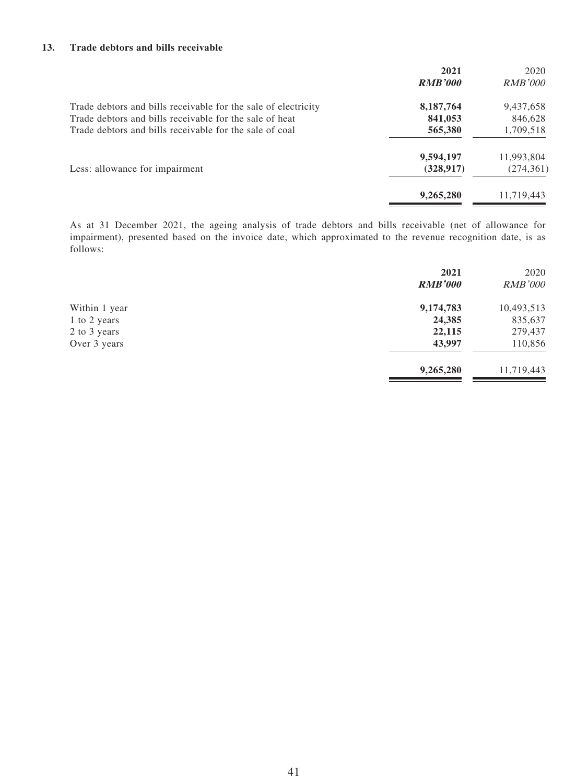#### **13. Trade debtors and bills receivable**

|                                                                | 2021<br><b>RMB'000</b> | 2020<br><i>RMB'000</i> |
|----------------------------------------------------------------|------------------------|------------------------|
| Trade debtors and bills receivable for the sale of electricity | 8,187,764              | 9,437,658              |
| Trade debtors and bills receivable for the sale of heat        | 841,053                | 846,628                |
| Trade debtors and bills receivable for the sale of coal        | 565,380                | 1,709,518              |
|                                                                | 9,594,197              | 11,993,804             |
| Less: allowance for impairment                                 | (328, 917)             | (274, 361)             |
|                                                                | 9,265,280              | 11,719,443             |

As at 31 December 2021, the ageing analysis of trade debtors and bills receivable (net of allowance for impairment), presented based on the invoice date, which approximated to the revenue recognition date, is as follows:

|               | 2021           | 2020           |
|---------------|----------------|----------------|
|               | <b>RMB'000</b> | <b>RMB'000</b> |
| Within 1 year | 9,174,783      | 10,493,513     |
| 1 to 2 years  | 24,385         | 835,637        |
| 2 to 3 years  | 22,115         | 279,437        |
| Over 3 years  | 43,997         | 110,856        |
|               | 9,265,280      | 11,719,443     |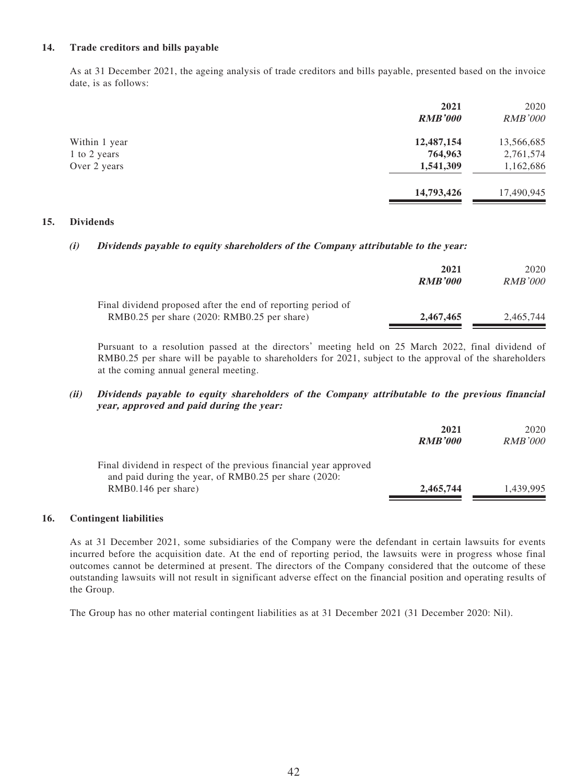#### **14. Trade creditors and bills payable**

As at 31 December 2021, the ageing analysis of trade creditors and bills payable, presented based on the invoice date, is as follows:

|               | 2021<br><b>RMB'000</b> | 2020<br><b>RMB'000</b> |
|---------------|------------------------|------------------------|
| Within 1 year | 12,487,154             | 13,566,685             |
| 1 to 2 years  | 764,963                | 2,761,574              |
| Over 2 years  | 1,541,309              | 1,162,686              |
|               | 14,793,426             | 17,490,945             |

#### **15. Dividends**

#### **(i) Dividends payable to equity shareholders of the Company attributable to the year:**

|                                                                                                             | 2021<br><b>RMB'000</b> | 2020<br><i>RMB'000</i> |
|-------------------------------------------------------------------------------------------------------------|------------------------|------------------------|
| Final dividend proposed after the end of reporting period of<br>RMB0.25 per share (2020: RMB0.25 per share) | 2,467,465              | 2,465,744              |

Pursuant to a resolution passed at the directors' meeting held on 25 March 2022, final dividend of RMB0.25 per share will be payable to shareholders for 2021, subject to the approval of the shareholders at the coming annual general meeting.

#### **(ii) Dividends payable to equity shareholders of the Company attributable to the previous financial year, approved and paid during the year:**

|                                                                                                                            | 2021<br><b>RMB'000</b> | 2020<br><b>RMB'000</b> |
|----------------------------------------------------------------------------------------------------------------------------|------------------------|------------------------|
| Final dividend in respect of the previous financial year approved<br>and paid during the year, of RMB0.25 per share (2020: |                        |                        |
| $RMB0.146$ per share)                                                                                                      | 2,465,744              | 1.439.995              |

#### **16. Contingent liabilities**

As at 31 December 2021, some subsidiaries of the Company were the defendant in certain lawsuits for events incurred before the acquisition date. At the end of reporting period, the lawsuits were in progress whose final outcomes cannot be determined at present. The directors of the Company considered that the outcome of these outstanding lawsuits will not result in significant adverse effect on the financial position and operating results of the Group.

The Group has no other material contingent liabilities as at 31 December 2021 (31 December 2020: Nil).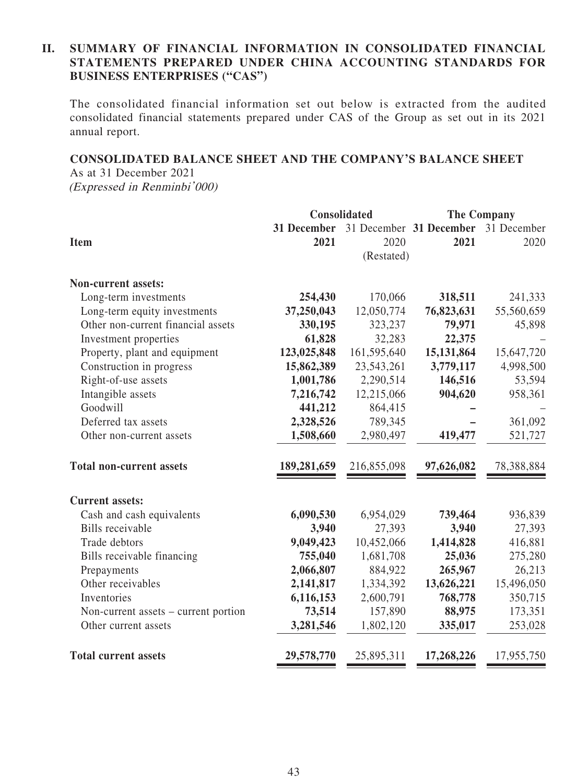#### **II. SUMMARY OF FINANCIAL INFORMATION IN CONSOLIDATED FINANCIAL STATEMENTS PREPARED UNDER CHINA ACCOUNTING STANDARDS FOR BUSINESS ENTERPRISES ("CAS")**

The consolidated financial information set out below is extracted from the audited consolidated financial statements prepared under CAS of the Group as set out in its 2021 annual report.

#### **CONSOLIDATED BALANCE SHEET AND THE COMPANY'S BALANCE SHEET**

As at 31 December 2021 (Expressed in Renminbi'000)

|                                      |             | <b>Consolidated</b> |                         | <b>The Company</b> |
|--------------------------------------|-------------|---------------------|-------------------------|--------------------|
|                                      | 31 December |                     | 31 December 31 December | 31 December        |
| <b>Item</b>                          | 2021        | 2020                | 2021                    | 2020               |
|                                      |             | (Restated)          |                         |                    |
| <b>Non-current assets:</b>           |             |                     |                         |                    |
| Long-term investments                | 254,430     | 170,066             | 318,511                 | 241,333            |
| Long-term equity investments         | 37,250,043  | 12,050,774          | 76,823,631              | 55,560,659         |
| Other non-current financial assets   | 330,195     | 323,237             | 79,971                  | 45,898             |
| Investment properties                | 61,828      | 32,283              | 22,375                  |                    |
| Property, plant and equipment        | 123,025,848 | 161,595,640         | 15,131,864              | 15,647,720         |
| Construction in progress             | 15,862,389  | 23,543,261          | 3,779,117               | 4,998,500          |
| Right-of-use assets                  | 1,001,786   | 2,290,514           | 146,516                 | 53,594             |
| Intangible assets                    | 7,216,742   | 12,215,066          | 904,620                 | 958,361            |
| Goodwill                             | 441,212     | 864,415             |                         |                    |
| Deferred tax assets                  | 2,328,526   | 789,345             |                         | 361,092            |
| Other non-current assets             | 1,508,660   | 2,980,497           | 419,477                 | 521,727            |
| <b>Total non-current assets</b>      | 189,281,659 | 216,855,098         | 97,626,082              | 78,388,884         |
| <b>Current assets:</b>               |             |                     |                         |                    |
| Cash and cash equivalents            | 6,090,530   | 6,954,029           | 739,464                 | 936,839            |
| <b>Bills</b> receivable              | 3,940       | 27,393              | 3,940                   | 27,393             |
| Trade debtors                        | 9,049,423   | 10,452,066          | 1,414,828               | 416,881            |
| Bills receivable financing           | 755,040     | 1,681,708           | 25,036                  | 275,280            |
| Prepayments                          | 2,066,807   | 884,922             | 265,967                 | 26,213             |
| Other receivables                    | 2,141,817   | 1,334,392           | 13,626,221              | 15,496,050         |
| Inventories                          | 6,116,153   | 2,600,791           | 768,778                 | 350,715            |
| Non-current assets – current portion | 73,514      | 157,890             | 88,975                  | 173,351            |
| Other current assets                 | 3,281,546   | 1,802,120           | 335,017                 | 253,028            |
| <b>Total current assets</b>          | 29,578,770  | 25,895,311          | 17,268,226              | 17,955,750         |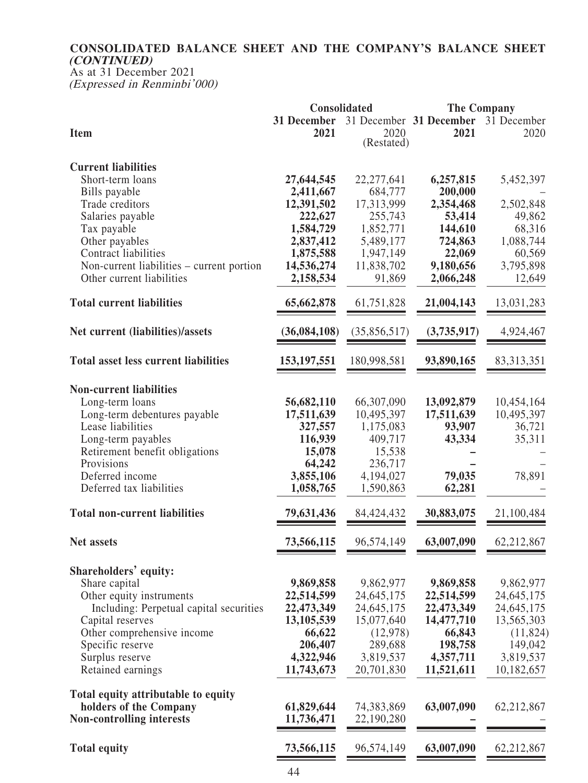#### **CONSOLIDATED BALANCE SHEET AND THE COMPANY'S BALANCE SHEET (CONTINUED)**

As at 31 December 2021 (Expressed in Renminbi'000)

|                                             | Consolidated  |              |                         | <b>The Company</b> |
|---------------------------------------------|---------------|--------------|-------------------------|--------------------|
|                                             | 31 December   |              | 31 December 31 December | 31 December        |
| <b>Item</b>                                 | 2021          | 2020         | 2021                    | 2020               |
|                                             |               | (Restated)   |                         |                    |
|                                             |               |              |                         |                    |
| <b>Current liabilities</b>                  |               |              |                         |                    |
| Short-term loans                            | 27,644,545    | 22, 277, 641 | 6,257,815               | 5,452,397          |
| Bills payable                               | 2,411,667     | 684,777      | 200,000                 |                    |
| Trade creditors                             | 12,391,502    | 17,313,999   | 2,354,468               | 2,502,848          |
| Salaries payable                            | 222,627       | 255,743      | 53,414                  | 49,862             |
| Tax payable                                 | 1,584,729     | 1,852,771    | 144,610                 | 68,316             |
| Other payables                              | 2,837,412     | 5,489,177    | 724,863                 | 1,088,744          |
| Contract liabilities                        | 1,875,588     | 1,947,149    | 22,069                  | 60,569             |
| Non-current liabilities – current portion   | 14,536,274    | 11,838,702   | 9,180,656               | 3,795,898          |
| Other current liabilities                   | 2,158,534     | 91,869       | 2,066,248               | 12,649             |
|                                             |               |              |                         |                    |
| <b>Total current liabilities</b>            | 65,662,878    | 61,751,828   | 21,004,143              | 13,031,283         |
|                                             |               |              |                         |                    |
| Net current (liabilities)/assets            | (36,084,108)  | (35,856,517) | (3,735,917)             | 4,924,467          |
|                                             |               |              |                         |                    |
| <b>Total asset less current liabilities</b> | 153, 197, 551 | 180,998,581  | 93,890,165              | 83, 313, 351       |
|                                             |               |              |                         |                    |
|                                             |               |              |                         |                    |
| <b>Non-current liabilities</b>              |               |              |                         |                    |
| Long-term loans                             | 56,682,110    | 66,307,090   | 13,092,879              | 10,454,164         |
| Long-term debentures payable                | 17,511,639    | 10,495,397   | 17,511,639              | 10,495,397         |
| Lease liabilities                           | 327,557       | 1,175,083    | 93,907                  | 36,721             |
| Long-term payables                          | 116,939       | 409,717      | 43,334                  | 35,311             |
| Retirement benefit obligations              | 15,078        | 15,538       |                         |                    |
| Provisions                                  | 64,242        | 236,717      |                         |                    |
| Deferred income                             | 3,855,106     | 4,194,027    | 79,035                  | 78,891             |
| Deferred tax liabilities                    | 1,058,765     | 1,590,863    | 62,281                  |                    |
|                                             |               |              |                         |                    |
| <b>Total non-current liabilities</b>        | 79,631,436    | 84,424,432   | 30,883,075              | 21,100,484         |
|                                             |               |              |                         |                    |
| Net assets                                  | 73,566,115    | 96,574,149   | 63,007,090              | 62,212,867         |
|                                             |               |              |                         |                    |
| Shareholders' equity:                       |               |              |                         |                    |
| Share capital                               | 9,869,858     | 9,862,977    | 9,869,858               | 9,862,977          |
| Other equity instruments                    | 22,514,599    | 24,645,175   | 22,514,599              | 24, 645, 175       |
| Including: Perpetual capital securities     | 22,473,349    | 24, 645, 175 | 22,473,349              | 24, 645, 175       |
| Capital reserves                            | 13,105,539    | 15,077,640   | 14,477,710              | 13,565,303         |
| Other comprehensive income                  | 66,622        | (12,978)     | 66,843                  | (11,824)           |
| Specific reserve                            | 206,407       | 289,688      | 198,758                 | 149,042            |
| Surplus reserve                             | 4,322,946     | 3,819,537    | 4,357,711               | 3,819,537          |
| Retained earnings                           | 11,743,673    | 20,701,830   | 11,521,611              | 10,182,657         |
|                                             |               |              |                         |                    |
| Total equity attributable to equity         |               |              |                         |                    |
| holders of the Company                      | 61,829,644    | 74,383,869   | 63,007,090              | 62,212,867         |
| <b>Non-controlling interests</b>            | 11,736,471    | 22,190,280   |                         |                    |
|                                             |               |              |                         |                    |
| <b>Total equity</b>                         | 73,566,115    | 96,574,149   | 63,007,090              | 62,212,867         |
|                                             |               |              |                         |                    |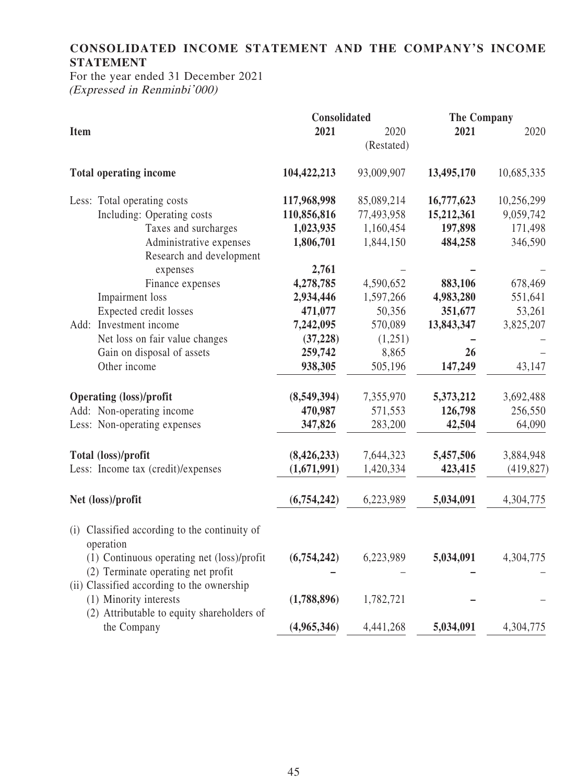## **CONSOLIDATED INCOME STATEMENT AND THE COMPANY'S INCOME STATEMENT**

For the year ended 31 December 2021 (Expressed in Renminbi'000)

|             |                                                        | Consolidated |            | <b>The Company</b> |            |
|-------------|--------------------------------------------------------|--------------|------------|--------------------|------------|
| <b>Item</b> |                                                        | 2021         | 2020       | 2021               | 2020       |
|             |                                                        |              | (Restated) |                    |            |
|             | <b>Total operating income</b>                          | 104,422,213  | 93,009,907 | 13,495,170         | 10,685,335 |
|             | Less: Total operating costs                            | 117,968,998  | 85,089,214 | 16,777,623         | 10,256,299 |
|             | Including: Operating costs                             | 110,856,816  | 77,493,958 | 15,212,361         | 9,059,742  |
|             | Taxes and surcharges                                   | 1,023,935    | 1,160,454  | 197,898            | 171,498    |
|             | Administrative expenses                                | 1,806,701    | 1,844,150  | 484,258            | 346,590    |
|             | Research and development                               |              |            |                    |            |
|             | expenses                                               | 2,761        |            |                    |            |
|             | Finance expenses                                       | 4,278,785    | 4,590,652  | 883,106            | 678,469    |
|             | Impairment loss                                        | 2,934,446    | 1,597,266  | 4,983,280          | 551,641    |
|             | Expected credit losses                                 | 471,077      | 50,356     | 351,677            | 53,261     |
|             | Add: Investment income                                 | 7,242,095    | 570,089    | 13,843,347         | 3,825,207  |
|             | Net loss on fair value changes                         | (37, 228)    | (1,251)    |                    |            |
|             | Gain on disposal of assets                             | 259,742      | 8,865      | 26                 |            |
|             | Other income                                           | 938,305      | 505,196    | 147,249            | 43,147     |
|             | <b>Operating (loss)/profit</b>                         | (8,549,394)  | 7,355,970  | 5,373,212          | 3,692,488  |
|             | Add: Non-operating income                              | 470,987      | 571,553    | 126,798            | 256,550    |
|             | Less: Non-operating expenses                           | 347,826      | 283,200    | 42,504             | 64,090     |
|             | Total (loss)/profit                                    | (8,426,233)  | 7,644,323  | 5,457,506          | 3,884,948  |
|             | Less: Income tax (credit)/expenses                     | (1,671,991)  | 1,420,334  | 423,415            | (419, 827) |
|             |                                                        |              |            |                    |            |
|             | Net (loss)/profit                                      | (6,754,242)  | 6,223,989  | 5,034,091          | 4,304,775  |
| (i)         | Classified according to the continuity of<br>operation |              |            |                    |            |
|             | (1) Continuous operating net (loss)/profit             | (6,754,242)  | 6,223,989  | 5,034,091          | 4,304,775  |
|             | (2) Terminate operating net profit                     |              |            |                    |            |
|             | (ii) Classified according to the ownership             |              |            |                    |            |
|             | (1) Minority interests                                 | (1,788,896)  | 1,782,721  |                    |            |
|             | (2) Attributable to equity shareholders of             |              |            |                    |            |
|             | the Company                                            | (4,965,346)  | 4,441,268  | 5,034,091          | 4,304,775  |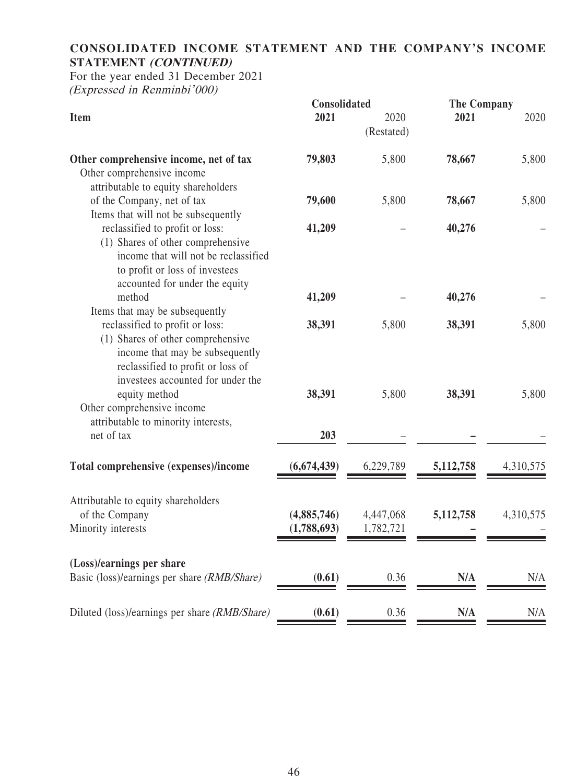## **CONSOLIDATED INCOME STATEMENT AND THE COMPANY'S INCOME STATEMENT (CONTINUED)**

For the year ended 31 December 2021 (Expressed in Renminbi'000)

|                                                                                                                                                                                   | Consolidated               |                        |             | <b>The Company</b> |  |
|-----------------------------------------------------------------------------------------------------------------------------------------------------------------------------------|----------------------------|------------------------|-------------|--------------------|--|
| <b>Item</b>                                                                                                                                                                       | 2021                       | 2020<br>(Restated)     | 2021        | 2020               |  |
| Other comprehensive income, net of tax<br>Other comprehensive income                                                                                                              | 79,803                     | 5,800                  | 78,667      | 5,800              |  |
| attributable to equity shareholders<br>of the Company, net of tax<br>Items that will not be subsequently                                                                          | 79,600                     | 5,800                  | 78,667      | 5,800              |  |
| reclassified to profit or loss:<br>(1) Shares of other comprehensive<br>income that will not be reclassified<br>to profit or loss of investees<br>accounted for under the equity  | 41,209                     |                        | 40,276      |                    |  |
| method<br>Items that may be subsequently                                                                                                                                          | 41,209                     |                        | 40,276      |                    |  |
| reclassified to profit or loss:<br>(1) Shares of other comprehensive<br>income that may be subsequently<br>reclassified to profit or loss of<br>investees accounted for under the | 38,391                     | 5,800                  | 38,391      | 5,800              |  |
| equity method<br>Other comprehensive income<br>attributable to minority interests,                                                                                                | 38,391                     | 5,800                  | 38,391      | 5,800              |  |
| net of tax                                                                                                                                                                        | 203                        |                        |             |                    |  |
| Total comprehensive (expenses)/income                                                                                                                                             | (6,674,439)                | 6,229,789              | 5, 112, 758 | 4,310,575          |  |
| Attributable to equity shareholders<br>of the Company<br>Minority interests                                                                                                       | (4,885,746)<br>(1,788,693) | 4,447,068<br>1,782,721 | 5,112,758   | 4,310,575          |  |
| (Loss)/earnings per share<br>Basic (loss)/earnings per share (RMB/Share)                                                                                                          | (0.61)                     | 0.36                   | N/A         | N/A                |  |
| Diluted (loss)/earnings per share (RMB/Share)                                                                                                                                     | (0.61)                     | 0.36                   | N/A         | N/A                |  |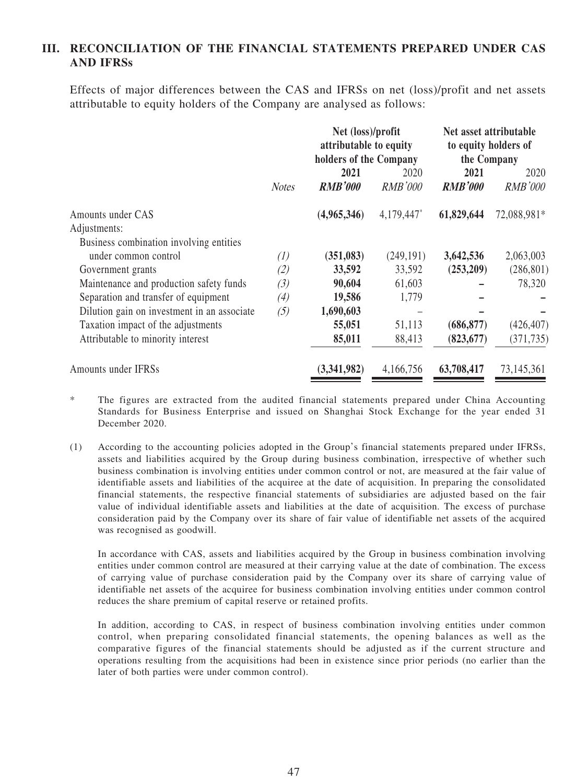#### **III. RECONCILIATION OF THE FINANCIAL STATEMENTS PREPARED UNDER CAS AND IFRSs**

Effects of major differences between the CAS and IFRSs on net (loss)/profit and net assets attributable to equity holders of the Company are analysed as follows:

|                                             |              | Net (loss)/profit<br>attributable to equity<br>holders of the Company |                | Net asset attributable<br>to equity holders of<br>the Company |                |
|---------------------------------------------|--------------|-----------------------------------------------------------------------|----------------|---------------------------------------------------------------|----------------|
|                                             |              |                                                                       |                |                                                               |                |
|                                             |              | 2021                                                                  | 2020           | 2021                                                          | 2020           |
|                                             | <b>Notes</b> | <b>RMB'000</b>                                                        | <i>RMB'000</i> | <b>RMB'000</b>                                                | <b>RMB'000</b> |
| Amounts under CAS                           |              | (4,965,346)                                                           | 4,179,447*     | 61,829,644                                                    | 72,088,981*    |
| Adjustments:                                |              |                                                                       |                |                                                               |                |
| Business combination involving entities     |              |                                                                       |                |                                                               |                |
| under common control                        | (1)          | (351, 083)                                                            | (249, 191)     | 3,642,536                                                     | 2,063,003      |
| Government grants                           | (2)          | 33,592                                                                | 33,592         | (253,209)                                                     | (286, 801)     |
| Maintenance and production safety funds     | (3)          | 90,604                                                                | 61,603         |                                                               | 78,320         |
| Separation and transfer of equipment        | (4)          | 19,586                                                                | 1,779          |                                                               |                |
| Dilution gain on investment in an associate | (5)          | 1,690,603                                                             |                |                                                               |                |
| Taxation impact of the adjustments          |              | 55,051                                                                | 51,113         | (686, 877)                                                    | (426, 407)     |
| Attributable to minority interest           |              | 85,011                                                                | 88,413         | (823, 677)                                                    | (371, 735)     |
| Amounts under IFRSs                         |              | (3,341,982)                                                           | 4,166,756      | 63,708,417                                                    | 73,145,361     |

- \* The figures are extracted from the audited financial statements prepared under China Accounting Standards for Business Enterprise and issued on Shanghai Stock Exchange for the year ended 31 December 2020.
- (1) According to the accounting policies adopted in the Group's financial statements prepared under IFRSs, assets and liabilities acquired by the Group during business combination, irrespective of whether such business combination is involving entities under common control or not, are measured at the fair value of identifiable assets and liabilities of the acquiree at the date of acquisition. In preparing the consolidated financial statements, the respective financial statements of subsidiaries are adjusted based on the fair value of individual identifiable assets and liabilities at the date of acquisition. The excess of purchase consideration paid by the Company over its share of fair value of identifiable net assets of the acquired was recognised as goodwill.

In accordance with CAS, assets and liabilities acquired by the Group in business combination involving entities under common control are measured at their carrying value at the date of combination. The excess of carrying value of purchase consideration paid by the Company over its share of carrying value of identifiable net assets of the acquiree for business combination involving entities under common control reduces the share premium of capital reserve or retained profits.

In addition, according to CAS, in respect of business combination involving entities under common control, when preparing consolidated financial statements, the opening balances as well as the comparative figures of the financial statements should be adjusted as if the current structure and operations resulting from the acquisitions had been in existence since prior periods (no earlier than the later of both parties were under common control).